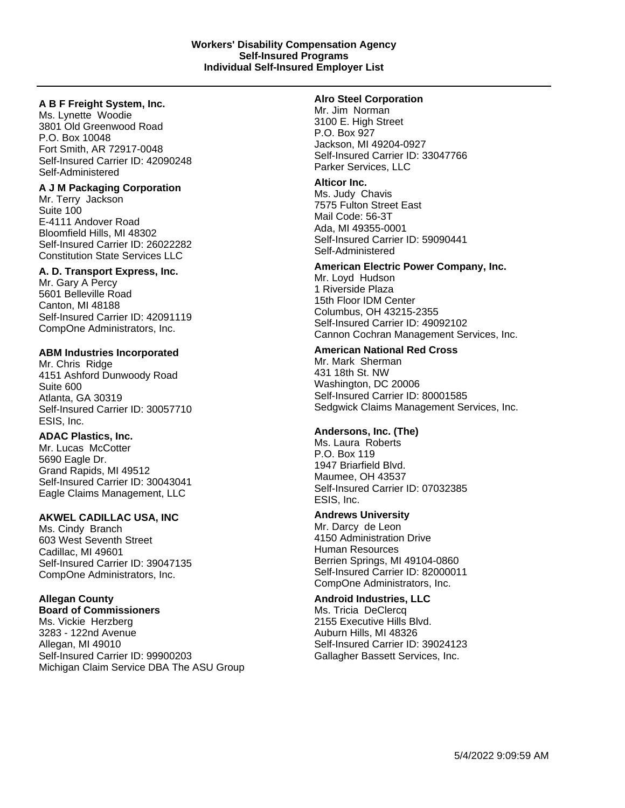# **A B F Freight System, Inc.**

Ms. Lynette Woodie 3801 Old Greenwood Road P.O. Box 10048 Fort Smith, AR 72917-0048 Self-Insured Carrier ID: 42090248 Self-Administered

# **A J M Packaging Corporation**

Mr. Terry Jackson Suite 100 E-4111 Andover Road Bloomfield Hills, MI 48302 Self-Insured Carrier ID: 26022282 Constitution State Services LLC

# **A. D. Transport Express, Inc.**

Mr. Gary A Percy 5601 Belleville Road Canton, MI 48188 Self-Insured Carrier ID: 42091119 CompOne Administrators, Inc.

# **ABM Industries Incorporated**

Mr. Chris Ridge 4151 Ashford Dunwoody Road Suite 600 Atlanta, GA 30319 Self-Insured Carrier ID: 30057710 ESIS, Inc.

# **ADAC Plastics, Inc.**

Mr. Lucas McCotter 5690 Eagle Dr. Grand Rapids, MI 49512 Self-Insured Carrier ID: 30043041 Eagle Claims Management, LLC

# **AKWEL CADILLAC USA, INC**

Ms. Cindy Branch 603 West Seventh Street Cadillac, MI 49601 Self-Insured Carrier ID: 39047135 CompOne Administrators, Inc.

# **Allegan County**

**Board of Commissioners** Ms. Vickie Herzberg 3283 - 122nd Avenue Allegan, MI 49010 Self-Insured Carrier ID: 99900203 Michigan Claim Service DBA The ASU Group

#### **Alro Steel Corporation**

Mr. Jim Norman 3100 E. High Street P.O. Box 927 Jackson, MI 49204-0927 Self-Insured Carrier ID: 33047766 Parker Services, LLC

# **Alticor Inc.**

Ms. Judy Chavis 7575 Fulton Street East Mail Code: 56-3T Ada, MI 49355-0001 Self-Insured Carrier ID: 59090441 Self-Administered

#### **American Electric Power Company, Inc.**

Mr. Loyd Hudson 1 Riverside Plaza 15th Floor IDM Center Columbus, OH 43215-2355 Self-Insured Carrier ID: 49092102 Cannon Cochran Management Services, Inc.

# **American National Red Cross**

Mr. Mark Sherman 431 18th St. NW Washington, DC 20006 Self-Insured Carrier ID: 80001585 Sedgwick Claims Management Services, Inc.

# **Andersons, Inc. (The)**

Ms. Laura Roberts P.O. Box 119 1947 Briarfield Blvd. Maumee, OH 43537 Self-Insured Carrier ID: 07032385 ESIS, Inc.

# **Andrews University**

Mr. Darcy de Leon 4150 Administration Drive Human Resources Berrien Springs, MI 49104-0860 Self-Insured Carrier ID: 82000011 CompOne Administrators, Inc.

# **Android Industries, LLC**

Ms. Tricia DeClercq 2155 Executive Hills Blvd. Auburn Hills, MI 48326 Self-Insured Carrier ID: 39024123 Gallagher Bassett Services, Inc.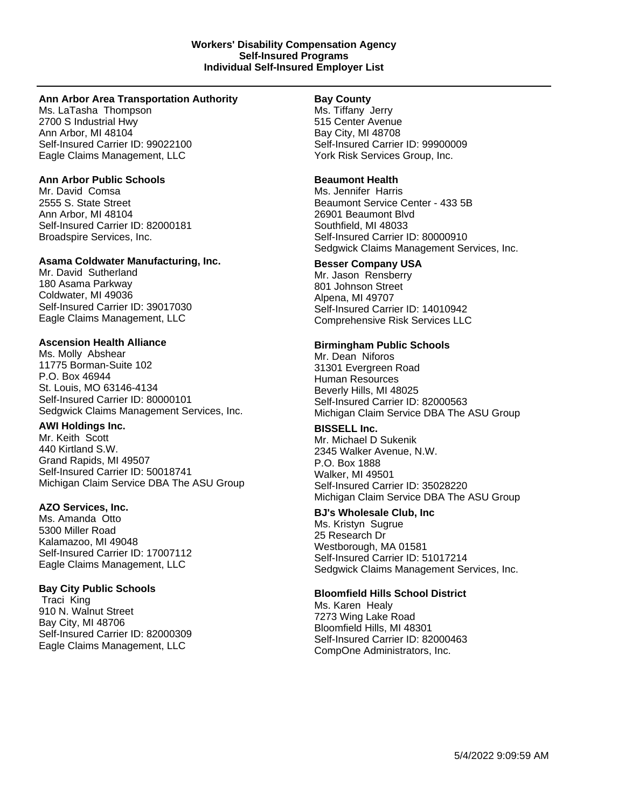#### **Ann Arbor Area Transportation Authority**

Ms. LaTasha Thompson 2700 S Industrial Hwy Ann Arbor, MI 48104 Self-Insured Carrier ID: 99022100 Eagle Claims Management, LLC

# **Ann Arbor Public Schools**

Mr. David Comsa 2555 S. State Street Ann Arbor, MI 48104 Self-Insured Carrier ID: 82000181 Broadspire Services, Inc.

# **Asama Coldwater Manufacturing, Inc.**

Mr. David Sutherland 180 Asama Parkway Coldwater, MI 49036 Self-Insured Carrier ID: 39017030 Eagle Claims Management, LLC

# **Ascension Health Alliance**

Ms. Molly Abshear 11775 Borman-Suite 102 P.O. Box 46944 St. Louis, MO 63146-4134 Self-Insured Carrier ID: 80000101 Sedgwick Claims Management Services, Inc.

# **AWI Holdings Inc.**

Mr. Keith Scott 440 Kirtland S.W. Grand Rapids, MI 49507 Self-Insured Carrier ID: 50018741 Michigan Claim Service DBA The ASU Group

# **AZO Services, Inc.**

Ms. Amanda Otto 5300 Miller Road Kalamazoo, MI 49048 Self-Insured Carrier ID: 17007112 Eagle Claims Management, LLC

# **Bay City Public Schools**

Traci King 910 N. Walnut Street Bay City, MI 48706 Self-Insured Carrier ID: 82000309 Eagle Claims Management, LLC

# **Bay County**

Ms. Tiffany Jerry 515 Center Avenue Bay City, MI 48708 Self-Insured Carrier ID: 99900009 York Risk Services Group, Inc.

# **Beaumont Health**

Ms. Jennifer Harris Beaumont Service Center - 433 5B 26901 Beaumont Blvd Southfield, MI 48033 Self-Insured Carrier ID: 80000910 Sedgwick Claims Management Services, Inc.

# **Besser Company USA**

Mr. Jason Rensberry 801 Johnson Street Alpena, MI 49707 Self-Insured Carrier ID: 14010942 Comprehensive Risk Services LLC

# **Birmingham Public Schools**

Mr. Dean Niforos 31301 Evergreen Road Human Resources Beverly Hills, MI 48025 Self-Insured Carrier ID: 82000563 Michigan Claim Service DBA The ASU Group

# **BISSELL Inc.**

Mr. Michael D Sukenik 2345 Walker Avenue, N.W. P.O. Box 1888 Walker, MI 49501 Self-Insured Carrier ID: 35028220 Michigan Claim Service DBA The ASU Group

# **BJ's Wholesale Club, Inc**

Ms. Kristyn Sugrue 25 Research Dr Westborough, MA 01581 Self-Insured Carrier ID: 51017214 Sedgwick Claims Management Services, Inc.

# **Bloomfield Hills School District**

Ms. Karen Healy 7273 Wing Lake Road Bloomfield Hills, MI 48301 Self-Insured Carrier ID: 82000463 CompOne Administrators, Inc.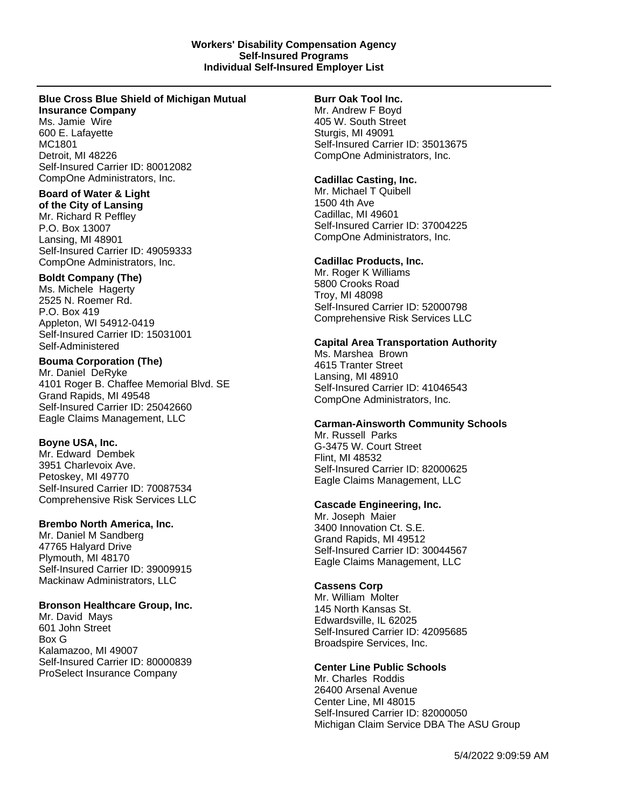# **Blue Cross Blue Shield of Michigan Mutual**

**Insurance Company**

Ms. Jamie Wire 600 E. Lafayette MC1801 Detroit, MI 48226 Self-Insured Carrier ID: 80012082 CompOne Administrators, Inc.

# **Board of Water & Light**

**of the City of Lansing** Mr. Richard R Peffley P.O. Box 13007 Lansing, MI 48901 Self-Insured Carrier ID: 49059333 CompOne Administrators, Inc.

# **Boldt Company (The)**

Ms. Michele Hagerty 2525 N. Roemer Rd. P.O. Box 419 Appleton, WI 54912-0419 Self-Insured Carrier ID: 15031001 Self-Administered

# **Bouma Corporation (The)**

Mr. Daniel DeRyke 4101 Roger B. Chaffee Memorial Blvd. SE Grand Rapids, MI 49548 Self-Insured Carrier ID: 25042660 Eagle Claims Management, LLC

# **Boyne USA, Inc.**

Mr. Edward Dembek 3951 Charlevoix Ave. Petoskey, MI 49770 Self-Insured Carrier ID: 70087534 Comprehensive Risk Services LLC

# **Brembo North America, Inc.**

Mr. Daniel M Sandberg 47765 Halyard Drive Plymouth, MI 48170 Self-Insured Carrier ID: 39009915 Mackinaw Administrators, LLC

# **Bronson Healthcare Group, Inc.**

Mr. David Mays 601 John Street Box G Kalamazoo, MI 49007 Self-Insured Carrier ID: 80000839 ProSelect Insurance Company

# **Burr Oak Tool Inc.**

Mr. Andrew F Boyd 405 W. South Street Sturgis, MI 49091 Self-Insured Carrier ID: 35013675 CompOne Administrators, Inc.

# **Cadillac Casting, Inc.**

Mr. Michael T Quibell 1500 4th Ave Cadillac, MI 49601 Self-Insured Carrier ID: 37004225 CompOne Administrators, Inc.

# **Cadillac Products, Inc.**

Mr. Roger K Williams 5800 Crooks Road Troy, MI 48098 Self-Insured Carrier ID: 52000798 Comprehensive Risk Services LLC

# **Capital Area Transportation Authority**

Ms. Marshea Brown 4615 Tranter Street Lansing, MI 48910 Self-Insured Carrier ID: 41046543 CompOne Administrators, Inc.

# **Carman-Ainsworth Community Schools**

Mr. Russell Parks G-3475 W. Court Street Flint, MI 48532 Self-Insured Carrier ID: 82000625 Eagle Claims Management, LLC

# **Cascade Engineering, Inc.**

Mr. Joseph Maier 3400 Innovation Ct. S.E. Grand Rapids, MI 49512 Self-Insured Carrier ID: 30044567 Eagle Claims Management, LLC

# **Cassens Corp**

Mr. William Molter 145 North Kansas St. Edwardsville, IL 62025 Self-Insured Carrier ID: 42095685 Broadspire Services, Inc.

# **Center Line Public Schools**

Mr. Charles Roddis 26400 Arsenal Avenue Center Line, MI 48015 Self-Insured Carrier ID: 82000050 Michigan Claim Service DBA The ASU Group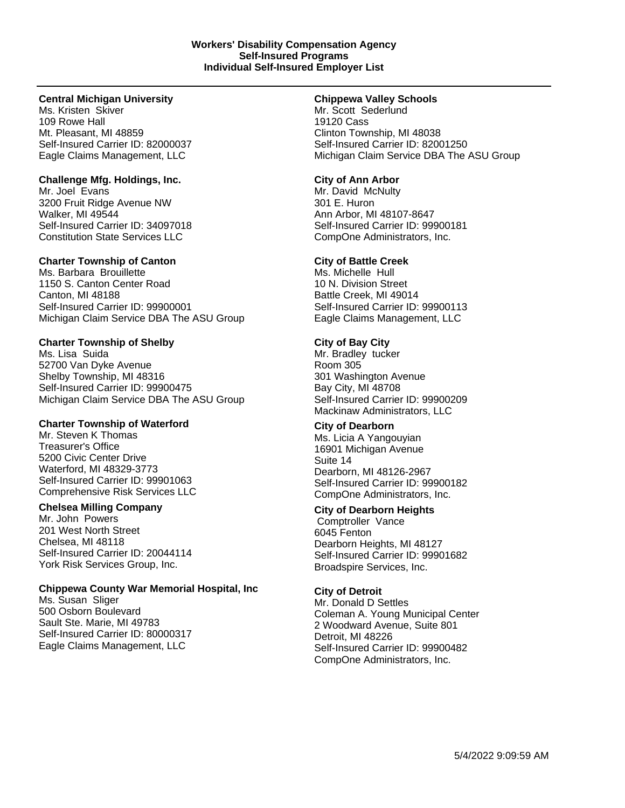# **Central Michigan University**

Ms. Kristen Skiver 109 Rowe Hall Mt. Pleasant, MI 48859 Self-Insured Carrier ID: 82000037 Eagle Claims Management, LLC

# **Challenge Mfg. Holdings, Inc.**

Mr. Joel Evans 3200 Fruit Ridge Avenue NW Walker, MI 49544 Self-Insured Carrier ID: 34097018 Constitution State Services LLC

# **Charter Township of Canton**

Ms. Barbara Brouillette 1150 S. Canton Center Road Canton, MI 48188 Self-Insured Carrier ID: 99900001 Michigan Claim Service DBA The ASU Group

# **Charter Township of Shelby**

Ms. Lisa Suida 52700 Van Dyke Avenue Shelby Township, MI 48316 Self-Insured Carrier ID: 99900475 Michigan Claim Service DBA The ASU Group

# **Charter Township of Waterford**

Mr. Steven K Thomas Treasurer's Office 5200 Civic Center Drive Waterford, MI 48329-3773 Self-Insured Carrier ID: 99901063 Comprehensive Risk Services LLC

# **Chelsea Milling Company**

Mr. John Powers 201 West North Street Chelsea, MI 48118 Self-Insured Carrier ID: 20044114 York Risk Services Group, Inc.

# **Chippewa County War Memorial Hospital, Inc**

Ms. Susan Sliger 500 Osborn Boulevard Sault Ste. Marie, MI 49783 Self-Insured Carrier ID: 80000317 Eagle Claims Management, LLC

### **Chippewa Valley Schools**

Mr. Scott Sederlund 19120 Cass Clinton Township, MI 48038 Self-Insured Carrier ID: 82001250 Michigan Claim Service DBA The ASU Group

# **City of Ann Arbor**

Mr. David McNulty 301 E. Huron Ann Arbor, MI 48107-8647 Self-Insured Carrier ID: 99900181 CompOne Administrators, Inc.

# **City of Battle Creek**

Ms. Michelle Hull 10 N. Division Street Battle Creek, MI 49014 Self-Insured Carrier ID: 99900113 Eagle Claims Management, LLC

# **City of Bay City**

Mr. Bradley tucker Room 305 301 Washington Avenue Bay City, MI 48708 Self-Insured Carrier ID: 99900209 Mackinaw Administrators, LLC

# **City of Dearborn**

Ms. Licia A Yangouyian 16901 Michigan Avenue Suite 14 Dearborn, MI 48126-2967 Self-Insured Carrier ID: 99900182 CompOne Administrators, Inc.

# **City of Dearborn Heights**

Comptroller Vance 6045 Fenton Dearborn Heights, MI 48127 Self-Insured Carrier ID: 99901682 Broadspire Services, Inc.

# **City of Detroit**

Mr. Donald D Settles Coleman A. Young Municipal Center 2 Woodward Avenue, Suite 801 Detroit, MI 48226 Self-Insured Carrier ID: 99900482 CompOne Administrators, Inc.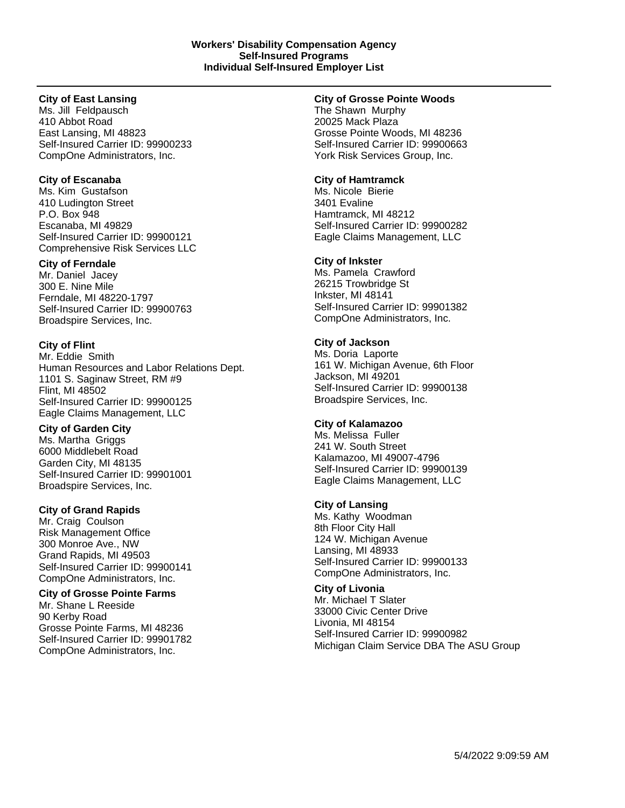# **City of East Lansing**

Ms. Jill Feldpausch 410 Abbot Road East Lansing, MI 48823 Self-Insured Carrier ID: 99900233 CompOne Administrators, Inc.

# **City of Escanaba**

Ms. Kim Gustafson 410 Ludington Street P.O. Box 948 Escanaba, MI 49829 Self-Insured Carrier ID: 99900121 Comprehensive Risk Services LLC

# **City of Ferndale**

Mr. Daniel Jacey 300 E. Nine Mile Ferndale, MI 48220-1797 Self-Insured Carrier ID: 99900763 Broadspire Services, Inc.

# **City of Flint**

Mr. Eddie Smith Human Resources and Labor Relations Dept. 1101 S. Saginaw Street, RM #9 Flint, MI 48502 Self-Insured Carrier ID: 99900125 Eagle Claims Management, LLC

# **City of Garden City**

Ms. Martha Griggs 6000 Middlebelt Road Garden City, MI 48135 Self-Insured Carrier ID: 99901001 Broadspire Services, Inc.

# **City of Grand Rapids**

Mr. Craig Coulson Risk Management Office 300 Monroe Ave., NW Grand Rapids, MI 49503 Self-Insured Carrier ID: 99900141 CompOne Administrators, Inc.

# **City of Grosse Pointe Farms**

Mr. Shane L Reeside 90 Kerby Road Grosse Pointe Farms, MI 48236 Self-Insured Carrier ID: 99901782 CompOne Administrators, Inc.

# **City of Grosse Pointe Woods**

The Shawn Murphy 20025 Mack Plaza Grosse Pointe Woods, MI 48236 Self-Insured Carrier ID: 99900663 York Risk Services Group, Inc.

# **City of Hamtramck**

Ms. Nicole Bierie 3401 Evaline Hamtramck, MI 48212 Self-Insured Carrier ID: 99900282 Eagle Claims Management, LLC

# **City of Inkster**

Ms. Pamela Crawford 26215 Trowbridge St Inkster, MI 48141 Self-Insured Carrier ID: 99901382 CompOne Administrators, Inc.

# **City of Jackson**

Ms. Doria Laporte 161 W. Michigan Avenue, 6th Floor Jackson, MI 49201 Self-Insured Carrier ID: 99900138 Broadspire Services, Inc.

# **City of Kalamazoo**

Ms. Melissa Fuller 241 W. South Street Kalamazoo, MI 49007-4796 Self-Insured Carrier ID: 99900139 Eagle Claims Management, LLC

# **City of Lansing**

Ms. Kathy Woodman 8th Floor City Hall 124 W. Michigan Avenue Lansing, MI 48933 Self-Insured Carrier ID: 99900133 CompOne Administrators, Inc.

**City of Livonia** Mr. Michael T Slater 33000 Civic Center Drive Livonia, MI 48154 Self-Insured Carrier ID: 99900982 Michigan Claim Service DBA The ASU Group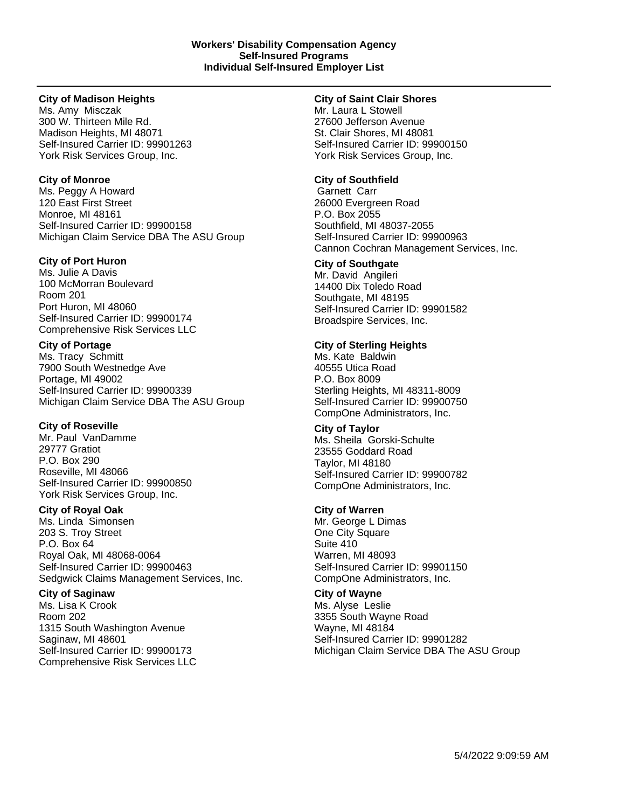### **City of Madison Heights**

Ms. Amy Misczak 300 W. Thirteen Mile Rd. Madison Heights, MI 48071 Self-Insured Carrier ID: 99901263 York Risk Services Group, Inc.

# **City of Monroe**

Ms. Peggy A Howard 120 East First Street Monroe, MI 48161 Self-Insured Carrier ID: 99900158 Michigan Claim Service DBA The ASU Group

# **City of Port Huron**

Ms. Julie A Davis 100 McMorran Boulevard Room 201 Port Huron, MI 48060 Self-Insured Carrier ID: 99900174 Comprehensive Risk Services LLC

# **City of Portage**

Ms. Tracy Schmitt 7900 South Westnedge Ave Portage, MI 49002 Self-Insured Carrier ID: 99900339 Michigan Claim Service DBA The ASU Group

# **City of Roseville**

Mr. Paul VanDamme 29777 Gratiot P.O. Box 290 Roseville, MI 48066 Self-Insured Carrier ID: 99900850 York Risk Services Group, Inc.

# **City of Royal Oak**

Ms. Linda Simonsen 203 S. Troy Street P.O. Box 64 Royal Oak, MI 48068-0064 Self-Insured Carrier ID: 99900463 Sedgwick Claims Management Services, Inc.

# **City of Saginaw**

Ms. Lisa K Crook Room 202 1315 South Washington Avenue Saginaw, MI 48601 Self-Insured Carrier ID: 99900173 Comprehensive Risk Services LLC

### **City of Saint Clair Shores**

Mr. Laura L Stowell 27600 Jefferson Avenue St. Clair Shores, MI 48081 Self-Insured Carrier ID: 99900150 York Risk Services Group, Inc.

# **City of Southfield**

Garnett Carr 26000 Evergreen Road P.O. Box 2055 Southfield, MI 48037-2055 Self-Insured Carrier ID: 99900963 Cannon Cochran Management Services, Inc.

# **City of Southgate**

Mr. David Angileri 14400 Dix Toledo Road Southgate, MI 48195 Self-Insured Carrier ID: 99901582 Broadspire Services, Inc.

# **City of Sterling Heights**

Ms. Kate Baldwin 40555 Utica Road P.O. Box 8009 Sterling Heights, MI 48311-8009 Self-Insured Carrier ID: 99900750 CompOne Administrators, Inc.

# **City of Taylor**

Ms. Sheila Gorski-Schulte 23555 Goddard Road Taylor, MI 48180 Self-Insured Carrier ID: 99900782 CompOne Administrators, Inc.

# **City of Warren**

Mr. George L Dimas One City Square Suite 410 Warren, MI 48093 Self-Insured Carrier ID: 99901150 CompOne Administrators, Inc.

# **City of Wayne**

Ms. Alyse Leslie 3355 South Wayne Road Wayne, MI 48184 Self-Insured Carrier ID: 99901282 Michigan Claim Service DBA The ASU Group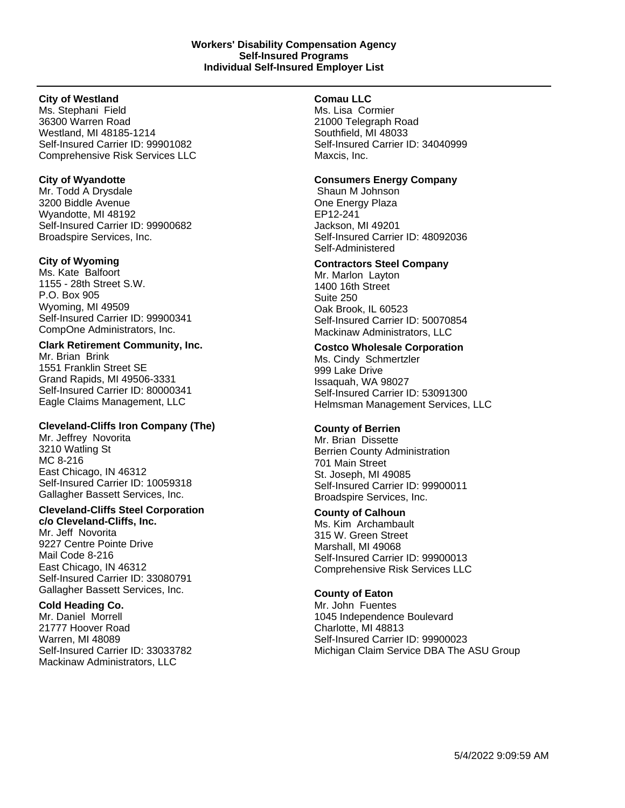# **City of Westland**

Ms. Stephani Field 36300 Warren Road Westland, MI 48185-1214 Self-Insured Carrier ID: 99901082 Comprehensive Risk Services LLC

# **City of Wyandotte**

Mr. Todd A Drysdale 3200 Biddle Avenue Wyandotte, MI 48192 Self-Insured Carrier ID: 99900682 Broadspire Services, Inc.

# **City of Wyoming**

Ms. Kate Balfoort 1155 - 28th Street S.W. P.O. Box 905 Wyoming, MI 49509 Self-Insured Carrier ID: 99900341 CompOne Administrators, Inc.

# **Clark Retirement Community, Inc.**

Mr. Brian Brink 1551 Franklin Street SE Grand Rapids, MI 49506-3331 Self-Insured Carrier ID: 80000341 Eagle Claims Management, LLC

# **Cleveland-Cliffs Iron Company (The)**

Mr. Jeffrey Novorita 3210 Watling St MC 8-216 East Chicago, IN 46312 Self-Insured Carrier ID: 10059318 Gallagher Bassett Services, Inc.

# **Cleveland-Cliffs Steel Corporation**

**c/o Cleveland-Cliffs, Inc.** Mr. Jeff Novorita 9227 Centre Pointe Drive Mail Code 8-216 East Chicago, IN 46312 Self-Insured Carrier ID: 33080791 Gallagher Bassett Services, Inc.

# **Cold Heading Co.**

Mr. Daniel Morrell 21777 Hoover Road Warren, MI 48089 Self-Insured Carrier ID: 33033782 Mackinaw Administrators, LLC

# **Comau LLC**

Ms. Lisa Cormier 21000 Telegraph Road Southfield, MI 48033 Self-Insured Carrier ID: 34040999 Maxcis, Inc.

# **Consumers Energy Company**

Shaun M Johnson One Energy Plaza EP12-241 Jackson, MI 49201 Self-Insured Carrier ID: 48092036 Self-Administered

# **Contractors Steel Company**

Mr. Marlon Layton 1400 16th Street Suite 250 Oak Brook, IL 60523 Self-Insured Carrier ID: 50070854 Mackinaw Administrators, LLC

# **Costco Wholesale Corporation**

Ms. Cindy Schmertzler 999 Lake Drive Issaquah, WA 98027 Self-Insured Carrier ID: 53091300 Helmsman Management Services, LLC

# **County of Berrien**

Mr. Brian Dissette Berrien County Administration 701 Main Street St. Joseph, MI 49085 Self-Insured Carrier ID: 99900011 Broadspire Services, Inc.

# **County of Calhoun**

Ms. Kim Archambault 315 W. Green Street Marshall, MI 49068 Self-Insured Carrier ID: 99900013 Comprehensive Risk Services LLC

# **County of Eaton**

Mr. John Fuentes 1045 Independence Boulevard Charlotte, MI 48813 Self-Insured Carrier ID: 99900023 Michigan Claim Service DBA The ASU Group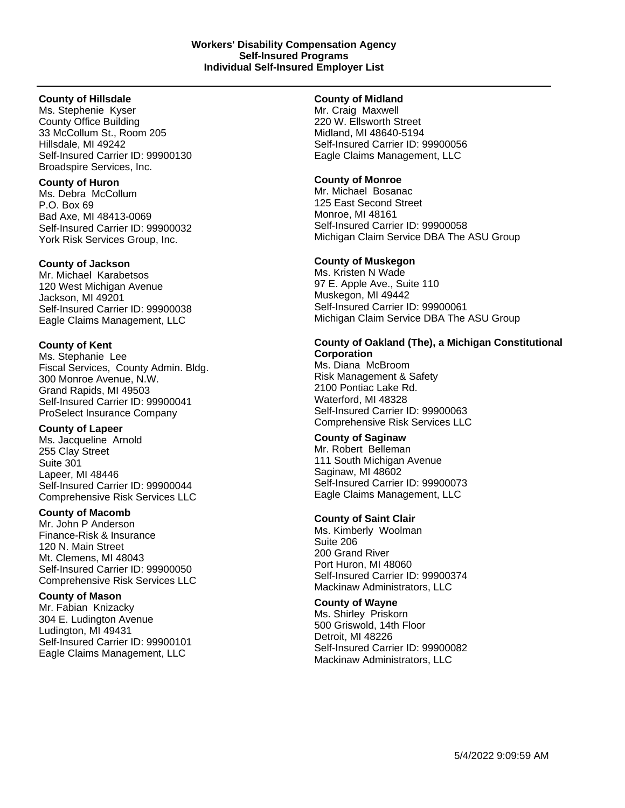#### **County of Hillsdale**

Ms. Stephenie Kyser County Office Building 33 McCollum St., Room 205 Hillsdale, MI 49242 Self-Insured Carrier ID: 99900130 Broadspire Services, Inc.

#### **County of Huron**

Ms. Debra McCollum P.O. Box 69 Bad Axe, MI 48413-0069 Self-Insured Carrier ID: 99900032 York Risk Services Group, Inc.

# **County of Jackson**

Mr. Michael Karabetsos 120 West Michigan Avenue Jackson, MI 49201 Self-Insured Carrier ID: 99900038 Eagle Claims Management, LLC

# **County of Kent**

Ms. Stephanie Lee Fiscal Services, County Admin. Bldg. 300 Monroe Avenue, N.W. Grand Rapids, MI 49503 Self-Insured Carrier ID: 99900041 ProSelect Insurance Company

# **County of Lapeer**

Ms. Jacqueline Arnold 255 Clay Street Suite 301 Lapeer, MI 48446 Self-Insured Carrier ID: 99900044 Comprehensive Risk Services LLC

# **County of Macomb**

Mr. John P Anderson Finance-Risk & Insurance 120 N. Main Street Mt. Clemens, MI 48043 Self-Insured Carrier ID: 99900050 Comprehensive Risk Services LLC

# **County of Mason**

Mr. Fabian Knizacky 304 E. Ludington Avenue Ludington, MI 49431 Self-Insured Carrier ID: 99900101 Eagle Claims Management, LLC

# **County of Midland**

Mr. Craig Maxwell 220 W. Ellsworth Street Midland, MI 48640-5194 Self-Insured Carrier ID: 99900056 Eagle Claims Management, LLC

# **County of Monroe**

Mr. Michael Bosanac 125 East Second Street Monroe, MI 48161 Self-Insured Carrier ID: 99900058 Michigan Claim Service DBA The ASU Group

# **County of Muskegon**

Ms. Kristen N Wade 97 E. Apple Ave., Suite 110 Muskegon, MI 49442 Self-Insured Carrier ID: 99900061 Michigan Claim Service DBA The ASU Group

# **County of Oakland (The), a Michigan Constitutional Corporation**

Ms. Diana McBroom Risk Management & Safety 2100 Pontiac Lake Rd. Waterford, MI 48328 Self-Insured Carrier ID: 99900063 Comprehensive Risk Services LLC

# **County of Saginaw**

Mr. Robert Belleman 111 South Michigan Avenue Saginaw, MI 48602 Self-Insured Carrier ID: 99900073 Eagle Claims Management, LLC

# **County of Saint Clair**

Ms. Kimberly Woolman Suite 206 200 Grand River Port Huron, MI 48060 Self-Insured Carrier ID: 99900374 Mackinaw Administrators, LLC

# **County of Wayne**

Ms. Shirley Priskorn 500 Griswold, 14th Floor Detroit, MI 48226 Self-Insured Carrier ID: 99900082 Mackinaw Administrators, LLC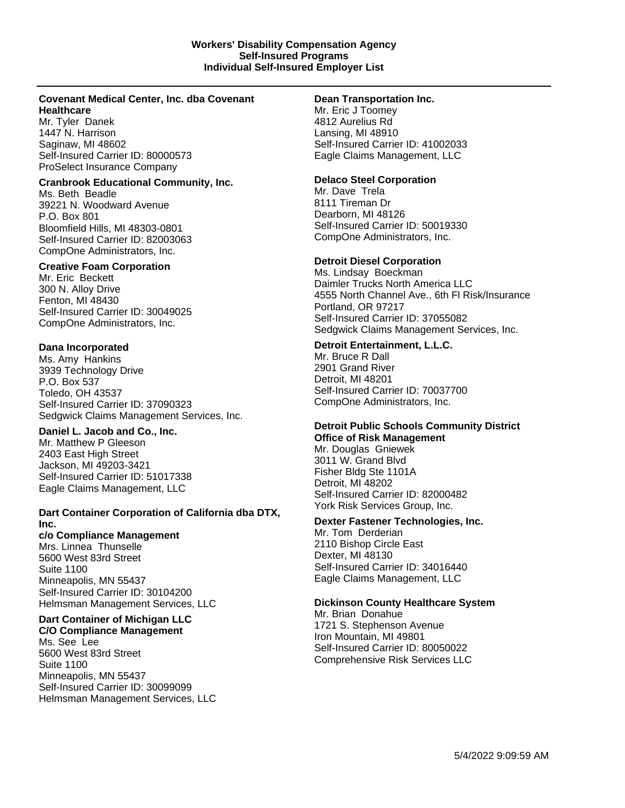# **Covenant Medical Center, Inc. dba Covenant Healthcare**

Mr. Tyler Danek 1447 N. Harrison Saginaw, MI 48602 Self-Insured Carrier ID: 80000573 ProSelect Insurance Company

#### **Cranbrook Educational Community, Inc.**

Ms. Beth Beadle 39221 N. Woodward Avenue P.O. Box 801 Bloomfield Hills, MI 48303-0801 Self-Insured Carrier ID: 82003063 CompOne Administrators, Inc.

#### **Creative Foam Corporation**

Mr. Eric Beckett 300 N. Alloy Drive Fenton, MI 48430 Self-Insured Carrier ID: 30049025 CompOne Administrators, Inc.

# **Dana Incorporated**

Ms. Amy Hankins 3939 Technology Drive P.O. Box 537 Toledo, OH 43537 Self-Insured Carrier ID: 37090323 Sedgwick Claims Management Services, Inc.

# **Daniel L. Jacob and Co., Inc.**

Mr. Matthew P Gleeson 2403 East High Street Jackson, MI 49203-3421 Self-Insured Carrier ID: 51017338 Eagle Claims Management, LLC

# **Dart Container Corporation of California dba DTX, Inc.**

# **c/o Compliance Management**

Mrs. Linnea Thunselle 5600 West 83rd Street Suite 1100 Minneapolis, MN 55437 Self-Insured Carrier ID: 30104200 Helmsman Management Services, LLC

#### **Dart Container of Michigan LLC C/O Compliance Management**

Ms. See Lee 5600 West 83rd Street Suite 1100 Minneapolis, MN 55437 Self-Insured Carrier ID: 30099099 Helmsman Management Services, LLC

#### **Dean Transportation Inc.**

Mr. Eric J Toomey 4812 Aurelius Rd Lansing, MI 48910 Self-Insured Carrier ID: 41002033 Eagle Claims Management, LLC

# **Delaco Steel Corporation**

Mr. Dave Trela 8111 Tireman Dr Dearborn, MI 48126 Self-Insured Carrier ID: 50019330 CompOne Administrators, Inc.

# **Detroit Diesel Corporation**

Ms. Lindsay Boeckman Daimler Trucks North America LLC 4555 North Channel Ave., 6th Fl Risk/Insurance Portland, OR 97217 Self-Insured Carrier ID: 37055082 Sedgwick Claims Management Services, Inc.

# **Detroit Entertainment, L.L.C.**

Mr. Bruce R Dall 2901 Grand River Detroit, MI 48201 Self-Insured Carrier ID: 70037700 CompOne Administrators, Inc.

# **Detroit Public Schools Community District Office of Risk Management**

Mr. Douglas Gniewek 3011 W. Grand Blvd Fisher Bldg Ste 1101A Detroit, MI 48202 Self-Insured Carrier ID: 82000482 York Risk Services Group, Inc.

# **Dexter Fastener Technologies, Inc.**

Mr. Tom Derderian 2110 Bishop Circle East Dexter, MI 48130 Self-Insured Carrier ID: 34016440 Eagle Claims Management, LLC

# **Dickinson County Healthcare System**

Mr. Brian Donahue 1721 S. Stephenson Avenue Iron Mountain, MI 49801 Self-Insured Carrier ID: 80050022 Comprehensive Risk Services LLC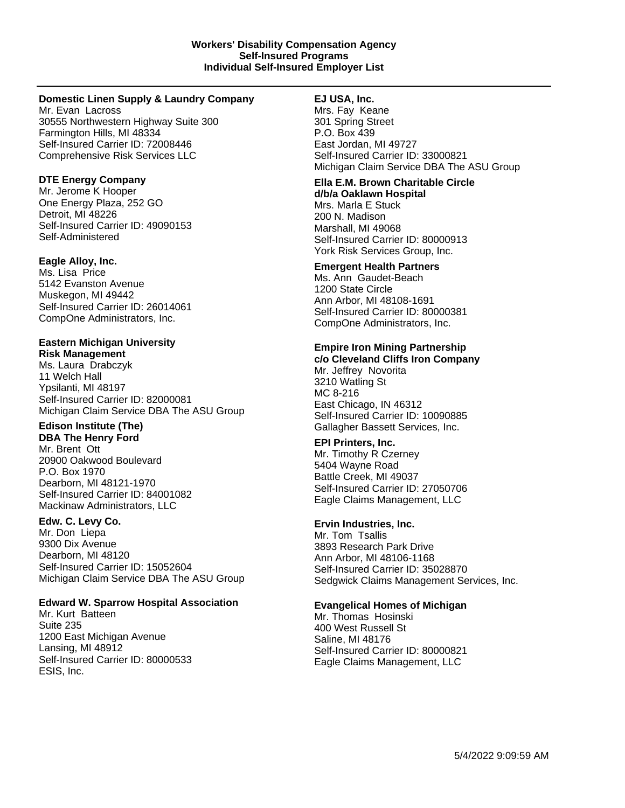#### **Domestic Linen Supply & Laundry Company**

Mr. Evan Lacross 30555 Northwestern Highway Suite 300 Farmington Hills, MI 48334 Self-Insured Carrier ID: 72008446 Comprehensive Risk Services LLC

# **DTE Energy Company**

Mr. Jerome K Hooper One Energy Plaza, 252 GO Detroit, MI 48226 Self-Insured Carrier ID: 49090153 Self-Administered

# **Eagle Alloy, Inc.**

Ms. Lisa Price 5142 Evanston Avenue Muskegon, MI 49442 Self-Insured Carrier ID: 26014061 CompOne Administrators, Inc.

#### **Eastern Michigan University Risk Management**

Ms. Laura Drabczyk 11 Welch Hall Ypsilanti, MI 48197 Self-Insured Carrier ID: 82000081 Michigan Claim Service DBA The ASU Group

# **Edison Institute (The)**

**DBA The Henry Ford** Mr. Brent Ott 20900 Oakwood Boulevard P.O. Box 1970 Dearborn, MI 48121-1970 Self-Insured Carrier ID: 84001082 Mackinaw Administrators, LLC

# **Edw. C. Levy Co.**

Mr. Don Liepa 9300 Dix Avenue Dearborn, MI 48120 Self-Insured Carrier ID: 15052604 Michigan Claim Service DBA The ASU Group

# **Edward W. Sparrow Hospital Association**

Mr. Kurt Batteen Suite 235 1200 East Michigan Avenue Lansing, MI 48912 Self-Insured Carrier ID: 80000533 ESIS, Inc.

# **EJ USA, Inc.**

Mrs. Fay Keane 301 Spring Street P.O. Box 439 East Jordan, MI 49727 Self-Insured Carrier ID: 33000821 Michigan Claim Service DBA The ASU Group

#### **Ella E.M. Brown Charitable Circle d/b/a Oaklawn Hospital**

Mrs. Marla E Stuck 200 N. Madison Marshall, MI 49068 Self-Insured Carrier ID: 80000913 York Risk Services Group, Inc.

# **Emergent Health Partners**

Ms. Ann Gaudet-Beach 1200 State Circle Ann Arbor, MI 48108-1691 Self-Insured Carrier ID: 80000381 CompOne Administrators, Inc.

# **Empire Iron Mining Partnership**

**c/o Cleveland Cliffs Iron Company** Mr. Jeffrey Novorita 3210 Watling St MC 8-216 East Chicago, IN 46312 Self-Insured Carrier ID: 10090885 Gallagher Bassett Services, Inc.

# **EPI Printers, Inc.**

Mr. Timothy R Czerney 5404 Wayne Road Battle Creek, MI 49037 Self-Insured Carrier ID: 27050706 Eagle Claims Management, LLC

# **Ervin Industries, Inc.**

Mr. Tom Tsallis 3893 Research Park Drive Ann Arbor, MI 48106-1168 Self-Insured Carrier ID: 35028870 Sedgwick Claims Management Services, Inc.

# **Evangelical Homes of Michigan**

Mr. Thomas Hosinski 400 West Russell St Saline, MI 48176 Self-Insured Carrier ID: 80000821 Eagle Claims Management, LLC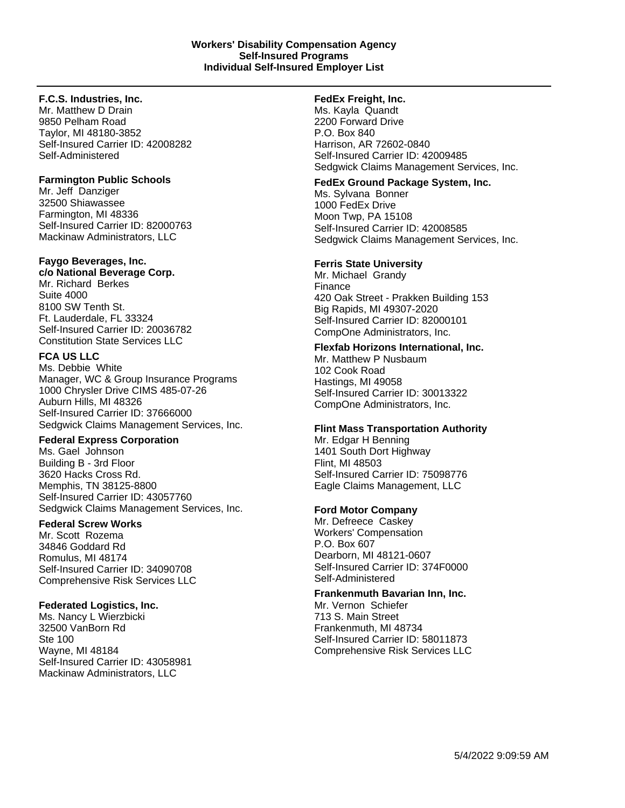# **F.C.S. Industries, Inc.**

Mr. Matthew D Drain 9850 Pelham Road Taylor, MI 48180-3852 Self-Insured Carrier ID: 42008282 Self-Administered

# **Farmington Public Schools**

Mr. Jeff Danziger 32500 Shiawassee Farmington, MI 48336 Self-Insured Carrier ID: 82000763 Mackinaw Administrators, LLC

# **Faygo Beverages, Inc.**

# **c/o National Beverage Corp.**

Mr. Richard Berkes Suite 4000 8100 SW Tenth St. Ft. Lauderdale, FL 33324 Self-Insured Carrier ID: 20036782 Constitution State Services LLC

# **FCA US LLC**

Ms. Debbie White Manager, WC & Group Insurance Programs 1000 Chrysler Drive CIMS 485-07-26 Auburn Hills, MI 48326 Self-Insured Carrier ID: 37666000 Sedgwick Claims Management Services, Inc.

# **Federal Express Corporation**

Ms. Gael Johnson Building B - 3rd Floor 3620 Hacks Cross Rd. Memphis, TN 38125-8800 Self-Insured Carrier ID: 43057760 Sedgwick Claims Management Services, Inc.

# **Federal Screw Works**

Mr. Scott Rozema 34846 Goddard Rd Romulus, MI 48174 Self-Insured Carrier ID: 34090708 Comprehensive Risk Services LLC

# **Federated Logistics, Inc.**

Ms. Nancy L Wierzbicki 32500 VanBorn Rd Ste 100 Wayne, MI 48184 Self-Insured Carrier ID: 43058981 Mackinaw Administrators, LLC

# **FedEx Freight, Inc.**

Ms. Kayla Quandt 2200 Forward Drive P.O. Box 840 Harrison, AR 72602-0840 Self-Insured Carrier ID: 42009485 Sedgwick Claims Management Services, Inc.

# **FedEx Ground Package System, Inc.**

Ms. Sylvana Bonner 1000 FedEx Drive Moon Twp, PA 15108 Self-Insured Carrier ID: 42008585 Sedgwick Claims Management Services, Inc.

# **Ferris State University**

Mr. Michael Grandy Finance 420 Oak Street - Prakken Building 153 Big Rapids, MI 49307-2020 Self-Insured Carrier ID: 82000101 CompOne Administrators, Inc.

# **Flexfab Horizons International, Inc.**

Mr. Matthew P Nusbaum 102 Cook Road Hastings, MI 49058 Self-Insured Carrier ID: 30013322 CompOne Administrators, Inc.

# **Flint Mass Transportation Authority**

Mr. Edgar H Benning 1401 South Dort Highway Flint, MI 48503 Self-Insured Carrier ID: 75098776 Eagle Claims Management, LLC

# **Ford Motor Company**

Mr. Defreece Caskey Workers' Compensation P.O. Box 607 Dearborn, MI 48121-0607 Self-Insured Carrier ID: 374F0000 Self-Administered

# **Frankenmuth Bavarian Inn, Inc.**

Mr. Vernon Schiefer 713 S. Main Street Frankenmuth, MI 48734 Self-Insured Carrier ID: 58011873 Comprehensive Risk Services LLC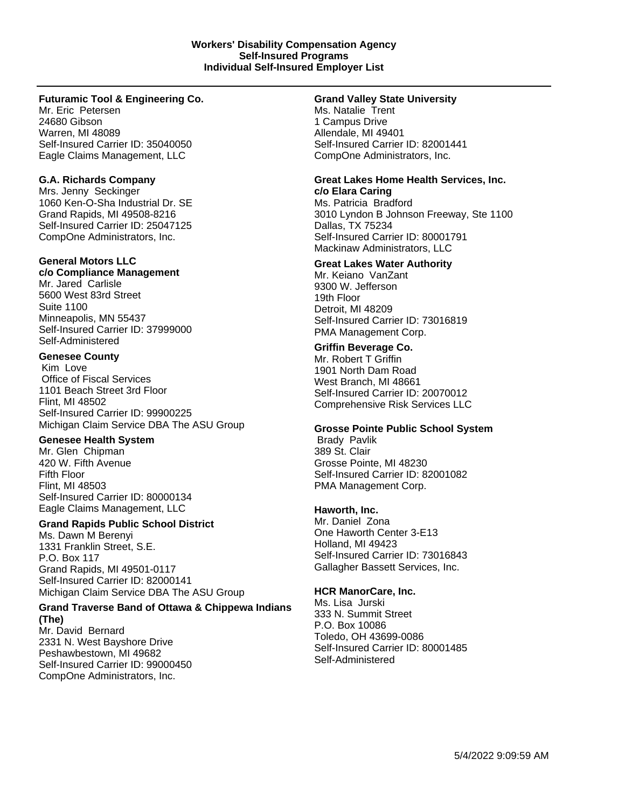# **Futuramic Tool & Engineering Co.**

Mr. Eric Petersen 24680 Gibson Warren, MI 48089 Self-Insured Carrier ID: 35040050 Eagle Claims Management, LLC

# **G.A. Richards Company**

Mrs. Jenny Seckinger 1060 Ken-O-Sha Industrial Dr. SE Grand Rapids, MI 49508-8216 Self-Insured Carrier ID: 25047125 CompOne Administrators, Inc.

#### **General Motors LLC c/o Compliance Management**

Mr. Jared Carlisle 5600 West 83rd Street Suite 1100 Minneapolis, MN 55437 Self-Insured Carrier ID: 37999000 Self-Administered

#### **Genesee County**

Kim Love Office of Fiscal Services 1101 Beach Street 3rd Floor Flint, MI 48502 Self-Insured Carrier ID: 99900225 Michigan Claim Service DBA The ASU Group

# **Genesee Health System**

Mr. Glen Chipman 420 W. Fifth Avenue Fifth Floor Flint, MI 48503 Self-Insured Carrier ID: 80000134 Eagle Claims Management, LLC

#### **Grand Rapids Public School District**

Ms. Dawn M Berenyi 1331 Franklin Street, S.E. P.O. Box 117 Grand Rapids, MI 49501-0117 Self-Insured Carrier ID: 82000141 Michigan Claim Service DBA The ASU Group

#### **Grand Traverse Band of Ottawa & Chippewa Indians (The)**

Mr. David Bernard 2331 N. West Bayshore Drive Peshawbestown, MI 49682 Self-Insured Carrier ID: 99000450 CompOne Administrators, Inc.

#### **Grand Valley State University**

Ms. Natalie Trent 1 Campus Drive Allendale, MI 49401 Self-Insured Carrier ID: 82001441 CompOne Administrators, Inc.

#### **Great Lakes Home Health Services, Inc. c/o Elara Caring**

Ms. Patricia Bradford 3010 Lyndon B Johnson Freeway, Ste 1100 Dallas, TX 75234 Self-Insured Carrier ID: 80001791 Mackinaw Administrators, LLC

# **Great Lakes Water Authority**

Mr. Keiano VanZant 9300 W. Jefferson 19th Floor Detroit, MI 48209 Self-Insured Carrier ID: 73016819 PMA Management Corp.

# **Griffin Beverage Co.**

Mr. Robert T Griffin 1901 North Dam Road West Branch, MI 48661 Self-Insured Carrier ID: 20070012 Comprehensive Risk Services LLC

#### **Grosse Pointe Public School System** Brady Pavlik

389 St. Clair Grosse Pointe, MI 48230 Self-Insured Carrier ID: 82001082 PMA Management Corp.

# **Haworth, Inc.**

Mr. Daniel Zona One Haworth Center 3-E13 Holland, MI 49423 Self-Insured Carrier ID: 73016843 Gallagher Bassett Services, Inc.

# **HCR ManorCare, Inc.**

Ms. Lisa Jurski 333 N. Summit Street P.O. Box 10086 Toledo, OH 43699-0086 Self-Insured Carrier ID: 80001485 Self-Administered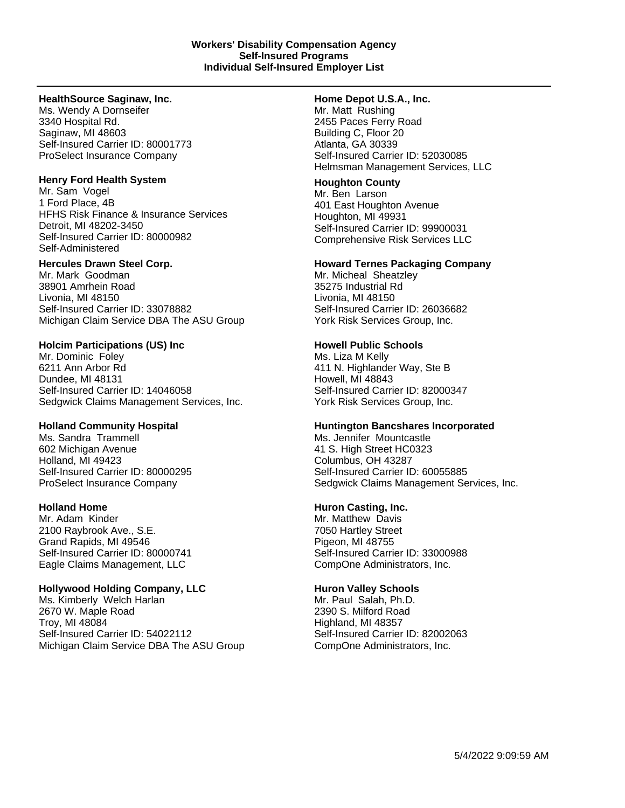#### **HealthSource Saginaw, Inc.**

Ms. Wendy A Dornseifer 3340 Hospital Rd. Saginaw, MI 48603 Self-Insured Carrier ID: 80001773 ProSelect Insurance Company

#### **Henry Ford Health System**

Mr. Sam Vogel 1 Ford Place, 4B HFHS Risk Finance & Insurance Services Detroit, MI 48202-3450 Self-Insured Carrier ID: 80000982 Self-Administered

# **Hercules Drawn Steel Corp.**

Mr. Mark Goodman 38901 Amrhein Road Livonia, MI 48150 Self-Insured Carrier ID: 33078882 Michigan Claim Service DBA The ASU Group

#### **Holcim Participations (US) Inc**

Mr. Dominic Foley 6211 Ann Arbor Rd Dundee, MI 48131 Self-Insured Carrier ID: 14046058 Sedgwick Claims Management Services, Inc.

# **Holland Community Hospital**

Ms. Sandra Trammell 602 Michigan Avenue Holland, MI 49423 Self-Insured Carrier ID: 80000295 ProSelect Insurance Company

# **Holland Home**

Mr. Adam Kinder 2100 Raybrook Ave., S.E. Grand Rapids, MI 49546 Self-Insured Carrier ID: 80000741 Eagle Claims Management, LLC

# **Hollywood Holding Company, LLC**

Ms. Kimberly Welch Harlan 2670 W. Maple Road Troy, MI 48084 Self-Insured Carrier ID: 54022112 Michigan Claim Service DBA The ASU Group

#### **Home Depot U.S.A., Inc.**

Mr. Matt Rushing 2455 Paces Ferry Road Building C, Floor 20 Atlanta, GA 30339 Self-Insured Carrier ID: 52030085 Helmsman Management Services, LLC

# **Houghton County**

Mr. Ben Larson 401 East Houghton Avenue Houghton, MI 49931 Self-Insured Carrier ID: 99900031 Comprehensive Risk Services LLC

#### **Howard Ternes Packaging Company**

Mr. Micheal Sheatzley 35275 Industrial Rd Livonia, MI 48150 Self-Insured Carrier ID: 26036682 York Risk Services Group, Inc.

#### **Howell Public Schools**

Ms. Liza M Kelly 411 N. Highlander Way, Ste B Howell, MI 48843 Self-Insured Carrier ID: 82000347 York Risk Services Group, Inc.

#### **Huntington Bancshares Incorporated**

Ms. Jennifer Mountcastle 41 S. High Street HC0323 Columbus, OH 43287 Self-Insured Carrier ID: 60055885 Sedgwick Claims Management Services, Inc.

# **Huron Casting, Inc.**

Mr. Matthew Davis 7050 Hartley Street Pigeon, MI 48755 Self-Insured Carrier ID: 33000988 CompOne Administrators, Inc.

#### **Huron Valley Schools**

Mr. Paul Salah, Ph.D. 2390 S. Milford Road Highland, MI 48357 Self-Insured Carrier ID: 82002063 CompOne Administrators, Inc.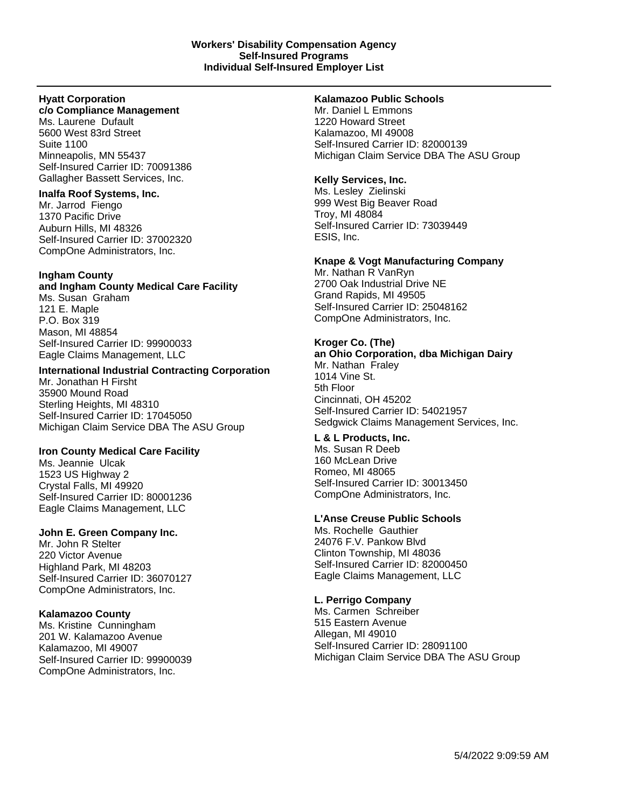#### **Hyatt Corporation c/o Compliance Management**

Ms. Laurene Dufault 5600 West 83rd Street Suite 1100 Minneapolis, MN 55437 Self-Insured Carrier ID: 70091386 Gallagher Bassett Services, Inc.

# **Inalfa Roof Systems, Inc.**

Mr. Jarrod Fiengo 1370 Pacific Drive Auburn Hills, MI 48326 Self-Insured Carrier ID: 37002320 CompOne Administrators, Inc.

# **Ingham County**

# **and Ingham County Medical Care Facility**

Ms. Susan Graham 121 E. Maple P.O. Box 319 Mason, MI 48854 Self-Insured Carrier ID: 99900033 Eagle Claims Management, LLC

# **International Industrial Contracting Corporation**

Mr. Jonathan H Firsht 35900 Mound Road Sterling Heights, MI 48310 Self-Insured Carrier ID: 17045050 Michigan Claim Service DBA The ASU Group

# **Iron County Medical Care Facility**

Ms. Jeannie Ulcak 1523 US Highway 2 Crystal Falls, MI 49920 Self-Insured Carrier ID: 80001236 Eagle Claims Management, LLC

# **John E. Green Company Inc.**

Mr. John R Stelter 220 Victor Avenue Highland Park, MI 48203 Self-Insured Carrier ID: 36070127 CompOne Administrators, Inc.

# **Kalamazoo County**

Ms. Kristine Cunningham 201 W. Kalamazoo Avenue Kalamazoo, MI 49007 Self-Insured Carrier ID: 99900039 CompOne Administrators, Inc.

# **Kalamazoo Public Schools**

Mr. Daniel L Emmons 1220 Howard Street Kalamazoo, MI 49008 Self-Insured Carrier ID: 82000139 Michigan Claim Service DBA The ASU Group

# **Kelly Services, Inc.**

Ms. Lesley Zielinski 999 West Big Beaver Road Troy, MI 48084 Self-Insured Carrier ID: 73039449 ESIS, Inc.

# **Knape & Vogt Manufacturing Company**

Mr. Nathan R VanRyn 2700 Oak Industrial Drive NE Grand Rapids, MI 49505 Self-Insured Carrier ID: 25048162 CompOne Administrators, Inc.

# **Kroger Co. (The)**

**an Ohio Corporation, dba Michigan Dairy** Mr. Nathan Fraley 1014 Vine St. 5th Floor Cincinnati, OH 45202 Self-Insured Carrier ID: 54021957

# Sedgwick Claims Management Services, Inc.

# **L & L Products, Inc.**

Ms. Susan R Deeb 160 McLean Drive Romeo, MI 48065 Self-Insured Carrier ID: 30013450 CompOne Administrators, Inc.

# **L'Anse Creuse Public Schools**

Ms. Rochelle Gauthier 24076 F.V. Pankow Blvd Clinton Township, MI 48036 Self-Insured Carrier ID: 82000450 Eagle Claims Management, LLC

# **L. Perrigo Company**

Ms. Carmen Schreiber 515 Eastern Avenue Allegan, MI 49010 Self-Insured Carrier ID: 28091100 Michigan Claim Service DBA The ASU Group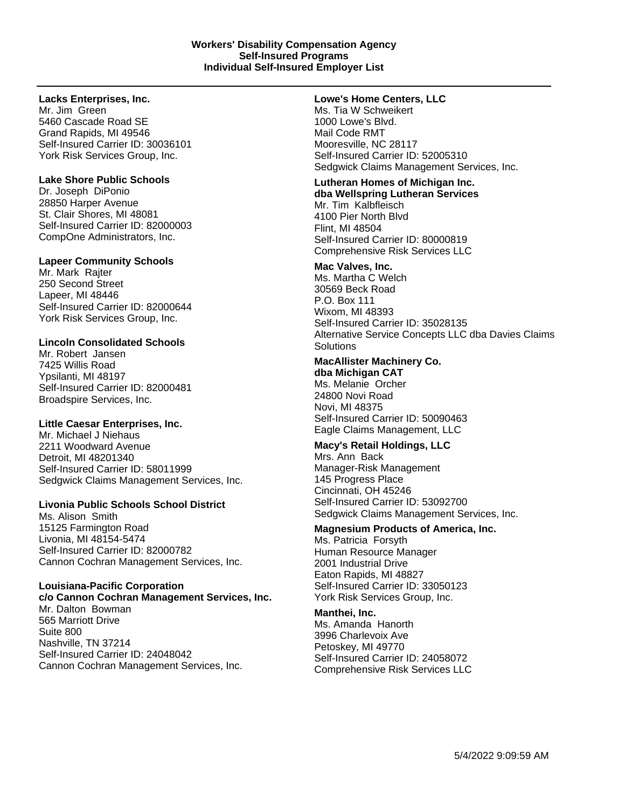#### **Lacks Enterprises, Inc.**

Mr. Jim Green 5460 Cascade Road SE Grand Rapids, MI 49546 Self-Insured Carrier ID: 30036101 York Risk Services Group, Inc.

#### **Lake Shore Public Schools**

Dr. Joseph DiPonio 28850 Harper Avenue St. Clair Shores, MI 48081 Self-Insured Carrier ID: 82000003 CompOne Administrators, Inc.

#### **Lapeer Community Schools**

Mr. Mark Rajter 250 Second Street Lapeer, MI 48446 Self-Insured Carrier ID: 82000644 York Risk Services Group, Inc.

# **Lincoln Consolidated Schools**

Mr. Robert Jansen 7425 Willis Road Ypsilanti, MI 48197 Self-Insured Carrier ID: 82000481 Broadspire Services, Inc.

# **Little Caesar Enterprises, Inc.**

Mr. Michael J Niehaus 2211 Woodward Avenue Detroit, MI 48201340 Self-Insured Carrier ID: 58011999 Sedgwick Claims Management Services, Inc.

# **Livonia Public Schools School District**

Ms. Alison Smith 15125 Farmington Road Livonia, MI 48154-5474 Self-Insured Carrier ID: 82000782 Cannon Cochran Management Services, Inc.

#### **Louisiana-Pacific Corporation**

**c/o Cannon Cochran Management Services, Inc.** Mr. Dalton Bowman 565 Marriott Drive Suite 800 Nashville, TN 37214 Self-Insured Carrier ID: 24048042 Cannon Cochran Management Services, Inc.

#### **Lowe's Home Centers, LLC**

Ms. Tia W Schweikert 1000 Lowe's Blvd. Mail Code RMT Mooresville, NC 28117 Self-Insured Carrier ID: 52005310 Sedgwick Claims Management Services, Inc.

# **Lutheran Homes of Michigan Inc.**

**dba Wellspring Lutheran Services** Mr. Tim Kalbfleisch 4100 Pier North Blvd Flint, MI 48504 Self-Insured Carrier ID: 80000819 Comprehensive Risk Services LLC

#### **Mac Valves, Inc.**

Ms. Martha C Welch 30569 Beck Road P.O. Box 111 Wixom, MI 48393 Self-Insured Carrier ID: 35028135 Alternative Service Concepts LLC dba Davies Claims **Solutions** 

#### **MacAllister Machinery Co. dba Michigan CAT**

Ms. Melanie Orcher 24800 Novi Road Novi, MI 48375 Self-Insured Carrier ID: 50090463 Eagle Claims Management, LLC

# **Macy's Retail Holdings, LLC**

Mrs. Ann Back Manager-Risk Management 145 Progress Place Cincinnati, OH 45246 Self-Insured Carrier ID: 53092700 Sedgwick Claims Management Services, Inc.

# **Magnesium Products of America, Inc.**

Ms. Patricia Forsyth Human Resource Manager 2001 Industrial Drive Eaton Rapids, MI 48827 Self-Insured Carrier ID: 33050123 York Risk Services Group, Inc.

# **Manthei, Inc.**

Ms. Amanda Hanorth 3996 Charlevoix Ave Petoskey, MI 49770 Self-Insured Carrier ID: 24058072 Comprehensive Risk Services LLC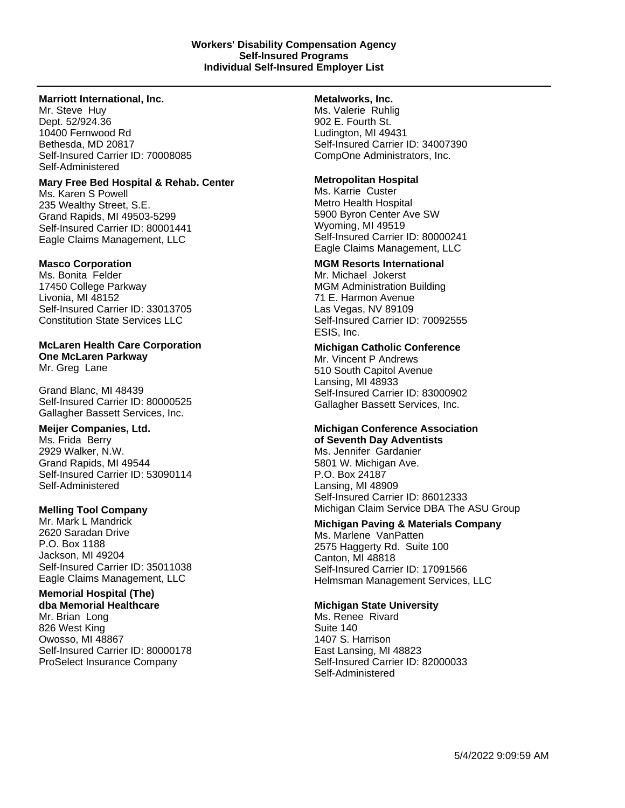#### **Marriott International, Inc.**

Mr. Steve Huy Dept. 52/924.36 10400 Fernwood Rd Bethesda, MD 20817 Self-Insured Carrier ID: 70008085 Self-Administered

#### **Mary Free Bed Hospital & Rehab. Center**

Ms. Karen S Powell 235 Wealthy Street, S.E. Grand Rapids, MI 49503-5299 Self-Insured Carrier ID: 80001441 Eagle Claims Management, LLC

# **Masco Corporation**

Ms. Bonita Felder 17450 College Parkway Livonia, MI 48152 Self-Insured Carrier ID: 33013705 Constitution State Services LLC

# **McLaren Health Care Corporation One McLaren Parkway**

Mr. Greg Lane

Grand Blanc, MI 48439 Self-Insured Carrier ID: 80000525 Gallagher Bassett Services, Inc.

# **Meijer Companies, Ltd.**

Ms. Frida Berry 2929 Walker, N.W. Grand Rapids, MI 49544 Self-Insured Carrier ID: 53090114 Self-Administered

# **Melling Tool Company**

Mr. Mark L Mandrick 2620 Saradan Drive P.O. Box 1188 Jackson, MI 49204 Self-Insured Carrier ID: 35011038 Eagle Claims Management, LLC

# **Memorial Hospital (The)**

**dba Memorial Healthcare** Mr. Brian Long 826 West King Owosso, MI 48867 Self-Insured Carrier ID: 80000178 ProSelect Insurance Company

# **Metalworks, Inc.**

Ms. Valerie Ruhlig 902 E. Fourth St. Ludington, MI 49431 Self-Insured Carrier ID: 34007390 CompOne Administrators, Inc.

# **Metropolitan Hospital**

Ms. Karrie Custer Metro Health Hospital 5900 Byron Center Ave SW Wyoming, MI 49519 Self-Insured Carrier ID: 80000241 Eagle Claims Management, LLC

# **MGM Resorts International**

Mr. Michael Jokerst MGM Administration Building 71 E. Harmon Avenue Las Vegas, NV 89109 Self-Insured Carrier ID: 70092555 ESIS, Inc.

# **Michigan Catholic Conference**

Mr. Vincent P Andrews 510 South Capitol Avenue Lansing, MI 48933 Self-Insured Carrier ID: 83000902 Gallagher Bassett Services, Inc.

# **Michigan Conference Association of Seventh Day Adventists**

Ms. Jennifer Gardanier 5801 W. Michigan Ave. P.O. Box 24187 Lansing, MI 48909 Self-Insured Carrier ID: 86012333 Michigan Claim Service DBA The ASU Group

# **Michigan Paving & Materials Company**

Ms. Marlene VanPatten 2575 Haggerty Rd. Suite 100 Canton, MI 48818 Self-Insured Carrier ID: 17091566 Helmsman Management Services, LLC

# **Michigan State University**

Ms. Renee Rivard Suite 140 1407 S. Harrison East Lansing, MI 48823 Self-Insured Carrier ID: 82000033 Self-Administered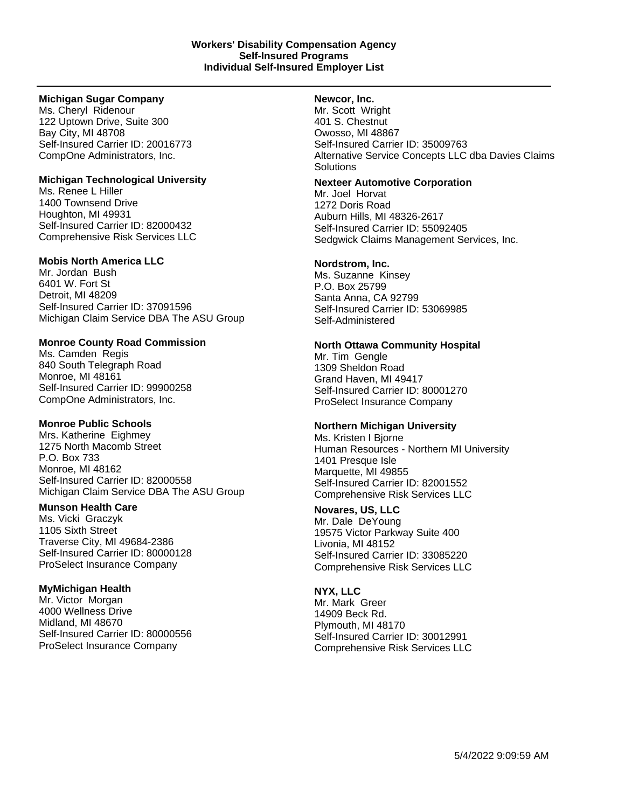#### **Michigan Sugar Company**

Ms. Cheryl Ridenour 122 Uptown Drive, Suite 300 Bay City, MI 48708 Self-Insured Carrier ID: 20016773 CompOne Administrators, Inc.

# **Michigan Technological University**

Ms. Renee L Hiller 1400 Townsend Drive Houghton, MI 49931 Self-Insured Carrier ID: 82000432 Comprehensive Risk Services LLC

# **Mobis North America LLC**

Mr. Jordan Bush 6401 W. Fort St Detroit, MI 48209 Self-Insured Carrier ID: 37091596 Michigan Claim Service DBA The ASU Group

# **Monroe County Road Commission**

Ms. Camden Regis 840 South Telegraph Road Monroe, MI 48161 Self-Insured Carrier ID: 99900258 CompOne Administrators, Inc.

# **Monroe Public Schools**

Mrs. Katherine Eighmey 1275 North Macomb Street P.O. Box 733 Monroe, MI 48162 Self-Insured Carrier ID: 82000558 Michigan Claim Service DBA The ASU Group

# **Munson Health Care**

Ms. Vicki Graczyk 1105 Sixth Street Traverse City, MI 49684-2386 Self-Insured Carrier ID: 80000128 ProSelect Insurance Company

# **MyMichigan Health**

Mr. Victor Morgan 4000 Wellness Drive Midland, MI 48670 Self-Insured Carrier ID: 80000556 ProSelect Insurance Company

# **Newcor, Inc.**

Mr. Scott Wright 401 S. Chestnut Owosso, MI 48867 Self-Insured Carrier ID: 35009763 Alternative Service Concepts LLC dba Davies Claims **Solutions** 

# **Nexteer Automotive Corporation**

Mr. Joel Horvat 1272 Doris Road Auburn Hills, MI 48326-2617 Self-Insured Carrier ID: 55092405 Sedgwick Claims Management Services, Inc.

# **Nordstrom, Inc.**

Ms. Suzanne Kinsey P.O. Box 25799 Santa Anna, CA 92799 Self-Insured Carrier ID: 53069985 Self-Administered

# **North Ottawa Community Hospital**

Mr. Tim Gengle 1309 Sheldon Road Grand Haven, MI 49417 Self-Insured Carrier ID: 80001270 ProSelect Insurance Company

# **Northern Michigan University**

Ms. Kristen I Bjorne Human Resources - Northern MI University 1401 Presque Isle Marquette, MI 49855 Self-Insured Carrier ID: 82001552 Comprehensive Risk Services LLC

# **Novares, US, LLC**

Mr. Dale DeYoung 19575 Victor Parkway Suite 400 Livonia, MI 48152 Self-Insured Carrier ID: 33085220 Comprehensive Risk Services LLC

# **NYX, LLC**

Mr. Mark Greer 14909 Beck Rd. Plymouth, MI 48170 Self-Insured Carrier ID: 30012991 Comprehensive Risk Services LLC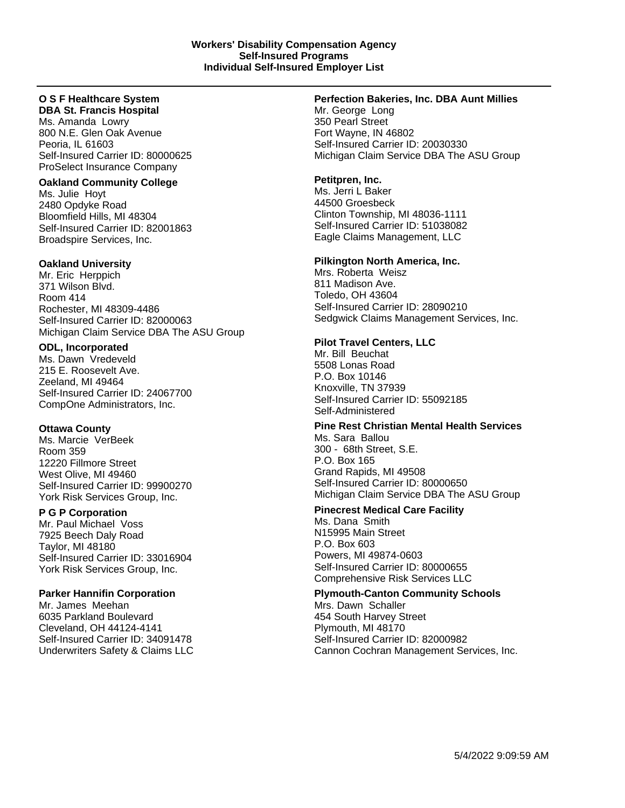#### **O S F Healthcare System DBA St. Francis Hospital**

Ms. Amanda Lowry 800 N.E. Glen Oak Avenue Peoria, IL 61603 Self-Insured Carrier ID: 80000625 ProSelect Insurance Company

# **Oakland Community College**

Ms. Julie Hoyt 2480 Opdyke Road Bloomfield Hills, MI 48304 Self-Insured Carrier ID: 82001863 Broadspire Services, Inc.

# **Oakland University**

Mr. Eric Herppich 371 Wilson Blvd. Room 414 Rochester, MI 48309-4486 Self-Insured Carrier ID: 82000063 Michigan Claim Service DBA The ASU Group

# **ODL, Incorporated**

Ms. Dawn Vredeveld 215 E. Roosevelt Ave. Zeeland, MI 49464 Self-Insured Carrier ID: 24067700 CompOne Administrators, Inc.

# **Ottawa County**

Ms. Marcie VerBeek Room 359 12220 Fillmore Street West Olive, MI 49460 Self-Insured Carrier ID: 99900270 York Risk Services Group, Inc.

# **P G P Corporation**

Mr. Paul Michael Voss 7925 Beech Daly Road Taylor, MI 48180 Self-Insured Carrier ID: 33016904 York Risk Services Group, Inc.

# **Parker Hannifin Corporation**

Mr. James Meehan 6035 Parkland Boulevard Cleveland, OH 44124-4141 Self-Insured Carrier ID: 34091478 Underwriters Safety & Claims LLC

# **Perfection Bakeries, Inc. DBA Aunt Millies**

Mr. George Long 350 Pearl Street Fort Wayne, IN 46802 Self-Insured Carrier ID: 20030330 Michigan Claim Service DBA The ASU Group

# **Petitpren, Inc.**

Ms. Jerri L Baker 44500 Groesbeck Clinton Township, MI 48036-1111 Self-Insured Carrier ID: 51038082 Eagle Claims Management, LLC

# **Pilkington North America, Inc.**

Mrs. Roberta Weisz 811 Madison Ave. Toledo, OH 43604 Self-Insured Carrier ID: 28090210 Sedgwick Claims Management Services, Inc.

# **Pilot Travel Centers, LLC**

Mr. Bill Beuchat 5508 Lonas Road P.O. Box 10146 Knoxville, TN 37939 Self-Insured Carrier ID: 55092185 Self-Administered

# **Pine Rest Christian Mental Health Services** Ms. Sara Ballou 300 - 68th Street, S.E.

P.O. Box 165 Grand Rapids, MI 49508 Self-Insured Carrier ID: 80000650 Michigan Claim Service DBA The ASU Group

# **Pinecrest Medical Care Facility**

Ms. Dana Smith N15995 Main Street P.O. Box 603 Powers, MI 49874-0603 Self-Insured Carrier ID: 80000655 Comprehensive Risk Services LLC

# **Plymouth-Canton Community Schools**

Mrs. Dawn Schaller 454 South Harvey Street Plymouth, MI 48170 Self-Insured Carrier ID: 82000982 Cannon Cochran Management Services, Inc.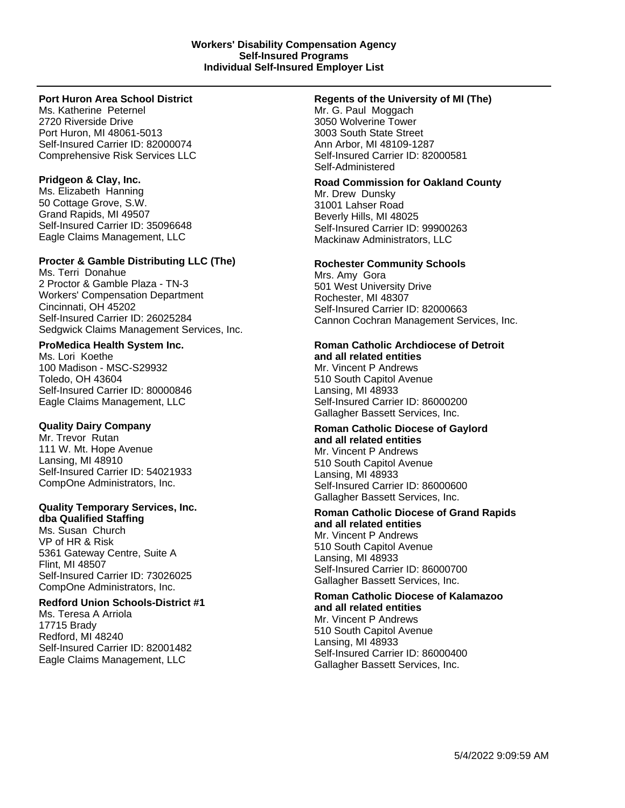# **Port Huron Area School District**

Ms. Katherine Peternel 2720 Riverside Drive Port Huron, MI 48061-5013 Self-Insured Carrier ID: 82000074 Comprehensive Risk Services LLC

# **Pridgeon & Clay, Inc.**

Ms. Elizabeth Hanning 50 Cottage Grove, S.W. Grand Rapids, MI 49507 Self-Insured Carrier ID: 35096648 Eagle Claims Management, LLC

# **Procter & Gamble Distributing LLC (The)**

Ms. Terri Donahue 2 Proctor & Gamble Plaza - TN-3 Workers' Compensation Department Cincinnati, OH 45202 Self-Insured Carrier ID: 26025284 Sedgwick Claims Management Services, Inc.

# **ProMedica Health System Inc.**

Ms. Lori Koethe 100 Madison - MSC-S29932 Toledo, OH 43604 Self-Insured Carrier ID: 80000846 Eagle Claims Management, LLC

# **Quality Dairy Company**

Mr. Trevor Rutan 111 W. Mt. Hope Avenue Lansing, MI 48910 Self-Insured Carrier ID: 54021933 CompOne Administrators, Inc.

# **Quality Temporary Services, Inc.**

**dba Qualified Staffing** Ms. Susan Church VP of HR & Risk 5361 Gateway Centre, Suite A Flint, MI 48507 Self-Insured Carrier ID: 73026025 CompOne Administrators, Inc.

# **Redford Union Schools-District #1**

Ms. Teresa A Arriola 17715 Brady Redford, MI 48240 Self-Insured Carrier ID: 82001482 Eagle Claims Management, LLC

# **Regents of the University of MI (The)**

Mr. G. Paul Moggach 3050 Wolverine Tower 3003 South State Street Ann Arbor, MI 48109-1287 Self-Insured Carrier ID: 82000581 Self-Administered

# **Road Commission for Oakland County**

Mr. Drew Dunsky 31001 Lahser Road Beverly Hills, MI 48025 Self-Insured Carrier ID: 99900263 Mackinaw Administrators, LLC

# **Rochester Community Schools**

Mrs. Amy Gora 501 West University Drive Rochester, MI 48307 Self-Insured Carrier ID: 82000663 Cannon Cochran Management Services, Inc.

# **Roman Catholic Archdiocese of Detroit and all related entities**

Mr. Vincent P Andrews 510 South Capitol Avenue Lansing, MI 48933 Self-Insured Carrier ID: 86000200 Gallagher Bassett Services, Inc.

#### **Roman Catholic Diocese of Gaylord and all related entities** Mr. Vincent P Andrews 510 South Capitol Avenue

Lansing, MI 48933 Self-Insured Carrier ID: 86000600 Gallagher Bassett Services, Inc.

#### **Roman Catholic Diocese of Grand Rapids and all related entities** Mr. Vincent P Andrews

510 South Capitol Avenue Lansing, MI 48933 Self-Insured Carrier ID: 86000700 Gallagher Bassett Services, Inc.

# **Roman Catholic Diocese of Kalamazoo and all related entities** Mr. Vincent P Andrews 510 South Capitol Avenue

Lansing, MI 48933 Self-Insured Carrier ID: 86000400 Gallagher Bassett Services, Inc.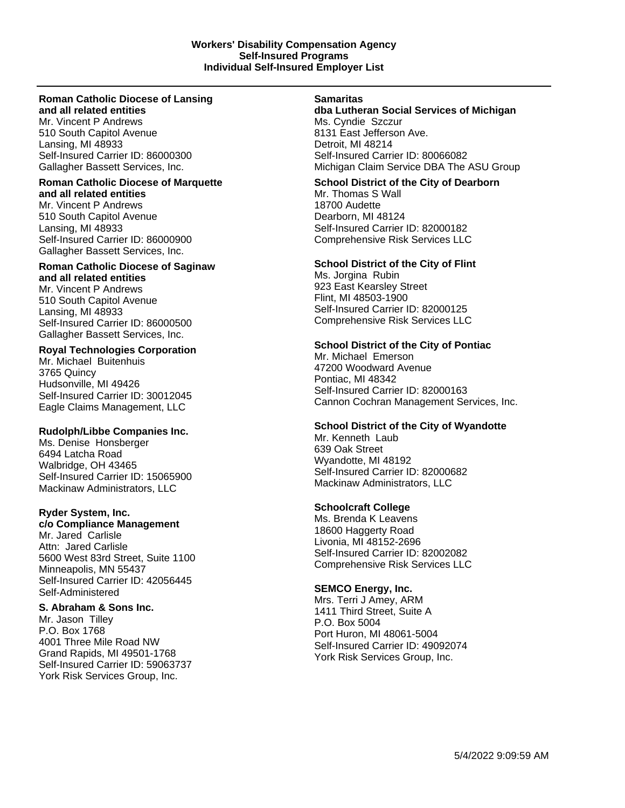#### **Roman Catholic Diocese of Lansing and all related entities**

Mr. Vincent P Andrews 510 South Capitol Avenue Lansing, MI 48933 Self-Insured Carrier ID: 86000300 Gallagher Bassett Services, Inc.

#### **Roman Catholic Diocese of Marquette and all related entities**

Mr. Vincent P Andrews 510 South Capitol Avenue Lansing, MI 48933 Self-Insured Carrier ID: 86000900 Gallagher Bassett Services, Inc.

# **Roman Catholic Diocese of Saginaw and all related entities**

Mr. Vincent P Andrews 510 South Capitol Avenue Lansing, MI 48933 Self-Insured Carrier ID: 86000500 Gallagher Bassett Services, Inc.

# **Royal Technologies Corporation**

Mr. Michael Buitenhuis 3765 Quincy Hudsonville, MI 49426 Self-Insured Carrier ID: 30012045 Eagle Claims Management, LLC

# **Rudolph/Libbe Companies Inc.**

Ms. Denise Honsberger 6494 Latcha Road Walbridge, OH 43465 Self-Insured Carrier ID: 15065900 Mackinaw Administrators, LLC

# **Ryder System, Inc.**

**c/o Compliance Management**

Mr. Jared Carlisle Attn: Jared Carlisle 5600 West 83rd Street, Suite 1100 Minneapolis, MN 55437 Self-Insured Carrier ID: 42056445 Self-Administered

# **S. Abraham & Sons Inc.**

Mr. Jason Tilley P.O. Box 1768 4001 Three Mile Road NW Grand Rapids, MI 49501-1768 Self-Insured Carrier ID: 59063737 York Risk Services Group, Inc.

#### **Samaritas**

**dba Lutheran Social Services of Michigan** Ms. Cyndie Szczur 8131 East Jefferson Ave. Detroit, MI 48214 Self-Insured Carrier ID: 80066082 Michigan Claim Service DBA The ASU Group

# **School District of the City of Dearborn**

Mr. Thomas S Wall 18700 Audette Dearborn, MI 48124 Self-Insured Carrier ID: 82000182 Comprehensive Risk Services LLC

# **School District of the City of Flint**

Ms. Jorgina Rubin 923 East Kearsley Street Flint, MI 48503-1900 Self-Insured Carrier ID: 82000125 Comprehensive Risk Services LLC

# **School District of the City of Pontiac**

Mr. Michael Emerson 47200 Woodward Avenue Pontiac, MI 48342 Self-Insured Carrier ID: 82000163 Cannon Cochran Management Services, Inc.

# **School District of the City of Wyandotte**

Mr. Kenneth Laub 639 Oak Street Wyandotte, MI 48192 Self-Insured Carrier ID: 82000682 Mackinaw Administrators, LLC

# **Schoolcraft College**

Ms. Brenda K Leavens 18600 Haggerty Road Livonia, MI 48152-2696 Self-Insured Carrier ID: 82002082 Comprehensive Risk Services LLC

# **SEMCO Energy, Inc.**

Mrs. Terri J Amey, ARM 1411 Third Street, Suite A P.O. Box 5004 Port Huron, MI 48061-5004 Self-Insured Carrier ID: 49092074 York Risk Services Group, Inc.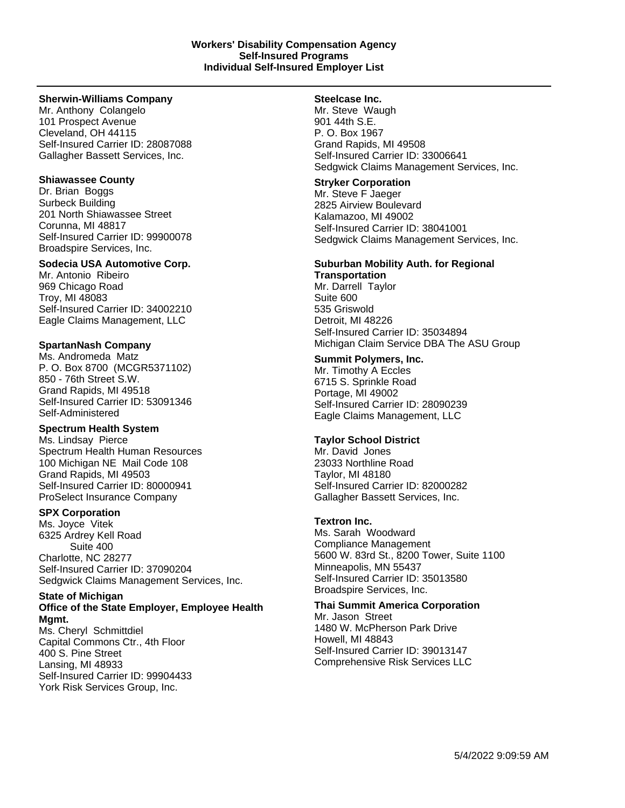#### **Sherwin-Williams Company**

Mr. Anthony Colangelo 101 Prospect Avenue Cleveland, OH 44115 Self-Insured Carrier ID: 28087088 Gallagher Bassett Services, Inc.

#### **Shiawassee County**

Dr. Brian Boggs Surbeck Building 201 North Shiawassee Street Corunna, MI 48817 Self-Insured Carrier ID: 99900078 Broadspire Services, Inc.

#### **Sodecia USA Automotive Corp.**

Mr. Antonio Ribeiro 969 Chicago Road Troy, MI 48083 Self-Insured Carrier ID: 34002210 Eagle Claims Management, LLC

# **SpartanNash Company**

Ms. Andromeda Matz P. O. Box 8700 (MCGR5371102) 850 - 76th Street S.W. Grand Rapids, MI 49518 Self-Insured Carrier ID: 53091346 Self-Administered

# **Spectrum Health System**

Ms. Lindsay Pierce Spectrum Health Human Resources 100 Michigan NE Mail Code 108 Grand Rapids, MI 49503 Self-Insured Carrier ID: 80000941 ProSelect Insurance Company

# **SPX Corporation**

Ms. Joyce Vitek 6325 Ardrey Kell Road Suite 400 Charlotte, NC 28277 Self-Insured Carrier ID: 37090204 Sedgwick Claims Management Services, Inc.

# **State of Michigan Office of the State Employer, Employee Health**

**Mgmt.** Ms. Cheryl Schmittdiel Capital Commons Ctr., 4th Floor 400 S. Pine Street Lansing, MI 48933 Self-Insured Carrier ID: 99904433 York Risk Services Group, Inc.

# **Steelcase Inc.**

Mr. Steve Waugh 901 44th S.E. P. O. Box 1967 Grand Rapids, MI 49508 Self-Insured Carrier ID: 33006641 Sedgwick Claims Management Services, Inc.

#### **Stryker Corporation**

Mr. Steve F Jaeger 2825 Airview Boulevard Kalamazoo, MI 49002 Self-Insured Carrier ID: 38041001 Sedgwick Claims Management Services, Inc.

# **Suburban Mobility Auth. for Regional**

**Transportation** Mr. Darrell Taylor Suite 600 535 Griswold Detroit, MI 48226 Self-Insured Carrier ID: 35034894 Michigan Claim Service DBA The ASU Group

#### **Summit Polymers, Inc.**

Mr. Timothy A Eccles 6715 S. Sprinkle Road Portage, MI 49002 Self-Insured Carrier ID: 28090239 Eagle Claims Management, LLC

# **Taylor School District**

Mr. David Jones 23033 Northline Road Taylor, MI 48180 Self-Insured Carrier ID: 82000282 Gallagher Bassett Services, Inc.

# **Textron Inc.**

Ms. Sarah Woodward Compliance Management 5600 W. 83rd St., 8200 Tower, Suite 1100 Minneapolis, MN 55437 Self-Insured Carrier ID: 35013580 Broadspire Services, Inc.

# **Thai Summit America Corporation**

Mr. Jason Street 1480 W. McPherson Park Drive Howell, MI 48843 Self-Insured Carrier ID: 39013147 Comprehensive Risk Services LLC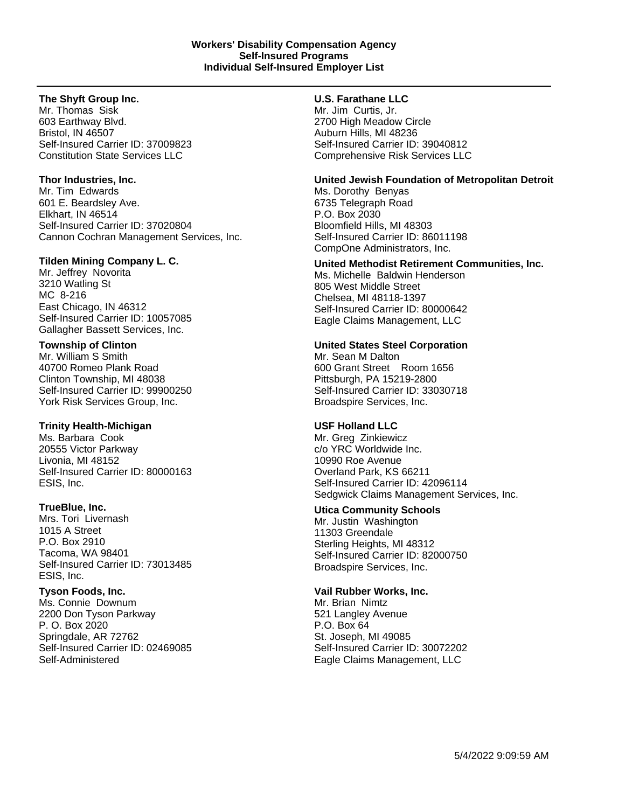# **The Shyft Group Inc.**

Mr. Thomas Sisk 603 Earthway Blvd. Bristol, IN 46507 Self-Insured Carrier ID: 37009823 Constitution State Services LLC

#### **Thor Industries, Inc.**

Mr. Tim Edwards 601 E. Beardsley Ave. Elkhart, IN 46514 Self-Insured Carrier ID: 37020804 Cannon Cochran Management Services, Inc.

#### **Tilden Mining Company L. C.**

Mr. Jeffrey Novorita 3210 Watling St MC 8-216 East Chicago, IN 46312 Self-Insured Carrier ID: 10057085 Gallagher Bassett Services, Inc.

#### **Township of Clinton**

Mr. William S Smith 40700 Romeo Plank Road Clinton Township, MI 48038 Self-Insured Carrier ID: 99900250 York Risk Services Group, Inc.

# **Trinity Health-Michigan**

Ms. Barbara Cook 20555 Victor Parkway Livonia, MI 48152 Self-Insured Carrier ID: 80000163 ESIS, Inc.

#### **TrueBlue, Inc.**

Mrs. Tori Livernash 1015 A Street P.O. Box 2910 Tacoma, WA 98401 Self-Insured Carrier ID: 73013485 ESIS, Inc.

# **Tyson Foods, Inc.**

Ms. Connie Downum 2200 Don Tyson Parkway P. O. Box 2020 Springdale, AR 72762 Self-Insured Carrier ID: 02469085 Self-Administered

#### **U.S. Farathane LLC**

Mr. Jim Curtis, Jr. 2700 High Meadow Circle Auburn Hills, MI 48236 Self-Insured Carrier ID: 39040812 Comprehensive Risk Services LLC

#### **United Jewish Foundation of Metropolitan Detroit**

Ms. Dorothy Benyas 6735 Telegraph Road P.O. Box 2030 Bloomfield Hills, MI 48303 Self-Insured Carrier ID: 86011198 CompOne Administrators, Inc.

# **United Methodist Retirement Communities, Inc.**

Ms. Michelle Baldwin Henderson 805 West Middle Street Chelsea, MI 48118-1397 Self-Insured Carrier ID: 80000642 Eagle Claims Management, LLC

#### **United States Steel Corporation**

Mr. Sean M Dalton 600 Grant Street Room 1656 Pittsburgh, PA 15219-2800 Self-Insured Carrier ID: 33030718 Broadspire Services, Inc.

#### **USF Holland LLC**

Mr. Greg Zinkiewicz c/o YRC Worldwide Inc. 10990 Roe Avenue Overland Park, KS 66211 Self-Insured Carrier ID: 42096114 Sedgwick Claims Management Services, Inc.

# **Utica Community Schools**

Mr. Justin Washington 11303 Greendale Sterling Heights, MI 48312 Self-Insured Carrier ID: 82000750 Broadspire Services, Inc.

#### **Vail Rubber Works, Inc.**

Mr. Brian Nimtz 521 Langley Avenue P.O. Box 64 St. Joseph, MI 49085 Self-Insured Carrier ID: 30072202 Eagle Claims Management, LLC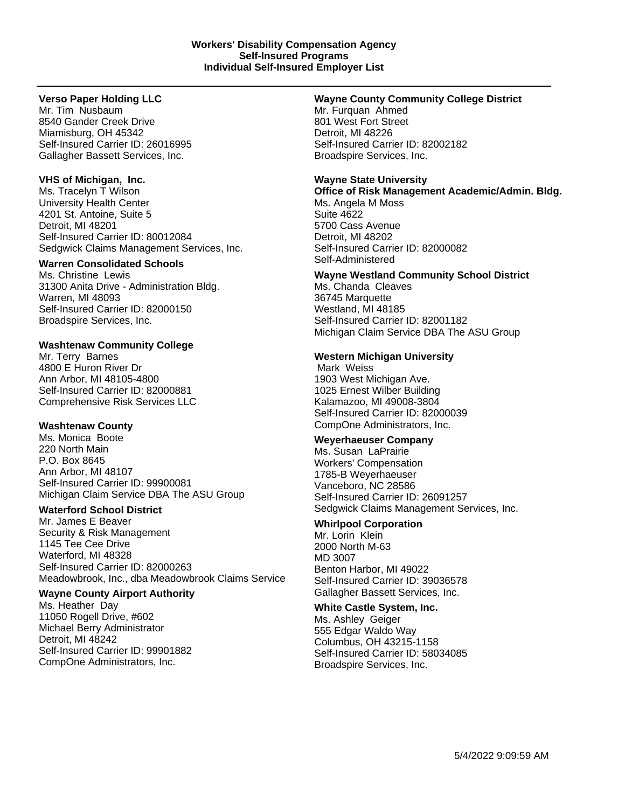# **Verso Paper Holding LLC**

Mr. Tim Nusbaum 8540 Gander Creek Drive Miamisburg, OH 45342 Self-Insured Carrier ID: 26016995 Gallagher Bassett Services, Inc.

# **VHS of Michigan, Inc.**

Ms. Tracelyn T Wilson University Health Center 4201 St. Antoine, Suite 5 Detroit, MI 48201 Self-Insured Carrier ID: 80012084 Sedgwick Claims Management Services, Inc.

# **Warren Consolidated Schools**

Ms. Christine Lewis 31300 Anita Drive - Administration Bldg. Warren, MI 48093 Self-Insured Carrier ID: 82000150 Broadspire Services, Inc.

# **Washtenaw Community College**

Mr. Terry Barnes 4800 E Huron River Dr Ann Arbor, MI 48105-4800 Self-Insured Carrier ID: 82000881 Comprehensive Risk Services LLC

# **Washtenaw County**

Ms. Monica Boote 220 North Main P.O. Box 8645 Ann Arbor, MI 48107 Self-Insured Carrier ID: 99900081 Michigan Claim Service DBA The ASU Group

# **Waterford School District**

Mr. James E Beaver Security & Risk Management 1145 Tee Cee Drive Waterford, MI 48328 Self-Insured Carrier ID: 82000263 Meadowbrook, Inc., dba Meadowbrook Claims Service

# **Wayne County Airport Authority**

Ms. Heather Day 11050 Rogell Drive, #602 Michael Berry Administrator Detroit, MI 48242 Self-Insured Carrier ID: 99901882 CompOne Administrators, Inc.

# **Wayne County Community College District**

Mr. Furquan Ahmed 801 West Fort Street Detroit, MI 48226 Self-Insured Carrier ID: 82002182 Broadspire Services, Inc.

# **Wayne State University**

**Office of Risk Management Academic/Admin. Bldg.** Ms. Angela M Moss Suite 4622 5700 Cass Avenue Detroit, MI 48202 Self-Insured Carrier ID: 82000082 Self-Administered

# **Wayne Westland Community School District** Ms. Chanda Cleaves 36745 Marquette

Westland, MI 48185 Self-Insured Carrier ID: 82001182 Michigan Claim Service DBA The ASU Group

# **Western Michigan University**

Mark Weiss 1903 West Michigan Ave. 1025 Ernest Wilber Building Kalamazoo, MI 49008-3804 Self-Insured Carrier ID: 82000039 CompOne Administrators, Inc.

# **Weyerhaeuser Company**

Ms. Susan LaPrairie Workers' Compensation 1785-B Weyerhaeuser Vanceboro, NC 28586 Self-Insured Carrier ID: 26091257 Sedgwick Claims Management Services, Inc.

# **Whirlpool Corporation**

Mr. Lorin Klein 2000 North M-63 MD 3007 Benton Harbor, MI 49022 Self-Insured Carrier ID: 39036578 Gallagher Bassett Services, Inc.

# **White Castle System, Inc.**

Ms. Ashley Geiger 555 Edgar Waldo Way Columbus, OH 43215-1158 Self-Insured Carrier ID: 58034085 Broadspire Services, Inc.